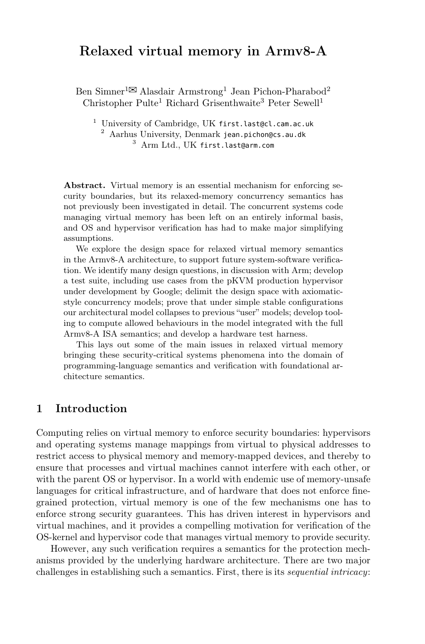# Relaxed virtual memory in Armv8-A

Ben Simner<sup>1 $\boxtimes$ </sup> Alasdair Armstrong<sup>1</sup> Jean Pichon-Pharabod<sup>2</sup> Christopher Pulte<sup>1</sup> Richard Grisenthwaite<sup>3</sup> Peter Sewell<sup>1</sup>

<sup>1</sup> University of Cambridge, UK first.last@cl.cam.ac.uk  $2$  Aarhus University, Denmark jean.pichon@cs.au.dk <sup>3</sup> Arm Ltd., UK first.last@arm.com

Abstract. Virtual memory is an essential mechanism for enforcing security boundaries, but its relaxed-memory concurrency semantics has not previously been investigated in detail. The concurrent systems code managing virtual memory has been left on an entirely informal basis, and OS and hypervisor verification has had to make major simplifying assumptions.

We explore the design space for relaxed virtual memory semantics in the Armv8-A architecture, to support future system-software verification. We identify many design questions, in discussion with Arm; develop a test suite, including use cases from the pKVM production hypervisor under development by Google; delimit the design space with axiomaticstyle concurrency models; prove that under simple stable configurations our architectural model collapses to previous "user" models; develop tooling to compute allowed behaviours in the model integrated with the full Armv8-A ISA semantics; and develop a hardware test harness.

This lays out some of the main issues in relaxed virtual memory bringing these security-critical systems phenomena into the domain of programming-language semantics and verification with foundational architecture semantics.

## <span id="page-0-0"></span>1 Introduction

Computing relies on virtual memory to enforce security boundaries: hypervisors and operating systems manage mappings from virtual to physical addresses to restrict access to physical memory and memory-mapped devices, and thereby to ensure that processes and virtual machines cannot interfere with each other, or with the parent OS or hypervisor. In a world with endemic use of memory-unsafe languages for critical infrastructure, and of hardware that does not enforce finegrained protection, virtual memory is one of the few mechanisms one has to enforce strong security guarantees. This has driven interest in hypervisors and virtual machines, and it provides a compelling motivation for verification of the OS-kernel and hypervisor code that manages virtual memory to provide security.

However, any such verification requires a semantics for the protection mechanisms provided by the underlying hardware architecture. There are two major challenges in establishing such a semantics. First, there is its sequential intricacy: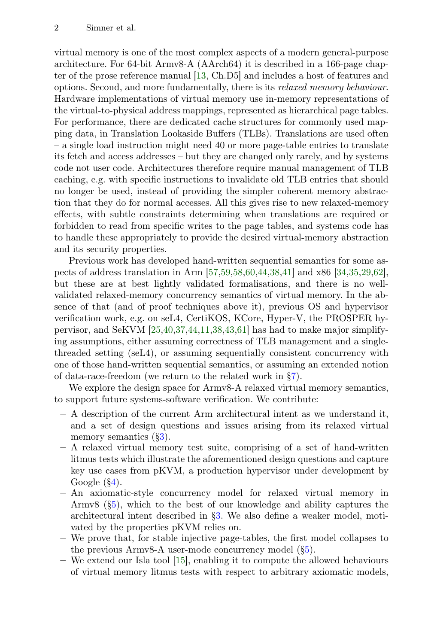virtual memory is one of the most complex aspects of a modern general-purpose architecture. For 64-bit Armv8-A (AArch64) it is described in a 166-page chapter of the prose reference manual [\[13,](#page-25-0) Ch.D5] and includes a host of features and options. Second, and more fundamentally, there is its relaxed memory behaviour. Hardware implementations of virtual memory use in-memory representations of the virtual-to-physical address mappings, represented as hierarchical page tables. For performance, there are dedicated cache structures for commonly used mapping data, in Translation Lookaside Buffers (TLBs). Translations are used often – a single load instruction might need 40 or more page-table entries to translate its fetch and access addresses – but they are changed only rarely, and by systems code not user code. Architectures therefore require manual management of TLB caching, e.g. with specific instructions to invalidate old TLB entries that should no longer be used, instead of providing the simpler coherent memory abstraction that they do for normal accesses. All this gives rise to new relaxed-memory effects, with subtle constraints determining when translations are required or forbidden to read from specific writes to the page tables, and systems code has to handle these appropriately to provide the desired virtual-memory abstraction and its security properties.

Previous work has developed hand-written sequential semantics for some aspects of address translation in Arm [\[57,](#page-29-0)[59](#page-29-1)[,58,](#page-29-2)[60,](#page-29-3)[44,](#page-28-0)[38,](#page-27-0)[41\]](#page-27-1) and x86 [\[34,](#page-27-2)[35,](#page-27-3)[29,](#page-27-4)[62\]](#page-29-4), but these are at best lightly validated formalisations, and there is no wellvalidated relaxed-memory concurrency semantics of virtual memory. In the absence of that (and of proof techniques above it), previous OS and hypervisor verification work, e.g. on seL4, CertiKOS, KCore, Hyper-V, the PROSPER hypervisor, and SeKVM [\[25,](#page-26-0)[40,](#page-27-5)[37,](#page-27-6)[44](#page-28-0)[,11,](#page-25-1)[38,](#page-27-0)[43,](#page-28-1)[61\]](#page-29-5) has had to make major simplifying assumptions, either assuming correctness of TLB management and a singlethreaded setting (seL4), or assuming sequentially consistent concurrency with one of those hand-written sequential semantics, or assuming an extended notion of data-race-freedom (we return to the related work in [§7\)](#page-23-0).

We explore the design space for Armv8-A relaxed virtual memory semantics, to support future systems-software verification. We contribute:

- A description of the current Arm architectural intent as we understand it, and a set of design questions and issues arising from its relaxed virtual memory semantics  $(\S3)$ .
- A relaxed virtual memory test suite, comprising of a set of hand-written litmus tests which illustrate the aforementioned design questions and capture key use cases from pKVM, a production hypervisor under development by Google ([§4\)](#page-15-0).
- An axiomatic-style concurrency model for relaxed virtual memory in Armv8 ([§5\)](#page-17-0), which to the best of our knowledge and ability captures the architectural intent described in [§3.](#page-5-0) We also define a weaker model, motivated by the properties pKVM relies on.
- We prove that, for stable injective page-tables, the first model collapses to the previous Armv8-A user-mode concurrency model  $(\S_5)$ .
- We extend our Isla tool [\[15\]](#page-26-1), enabling it to compute the allowed behaviours of virtual memory litmus tests with respect to arbitrary axiomatic models,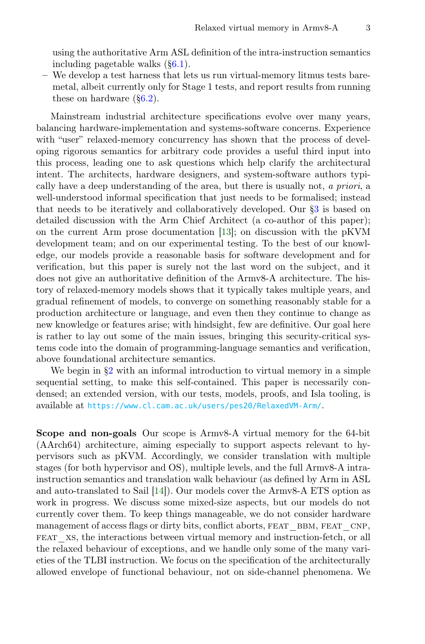using the authoritative Arm ASL definition of the intra-instruction semantics including pagetable walks  $(\S6.1)$ .

– We develop a test harness that lets us run virtual-memory litmus tests baremetal, albeit currently only for Stage 1 tests, and report results from running these on hardware  $(\S6.2)$ .

Mainstream industrial architecture specifications evolve over many years, balancing hardware-implementation and systems-software concerns. Experience with "user" relaxed-memory concurrency has shown that the process of developing rigorous semantics for arbitrary code provides a useful third input into this process, leading one to ask questions which help clarify the architectural intent. The architects, hardware designers, and system-software authors typically have a deep understanding of the area, but there is usually not, a priori, a well-understood informal specification that just needs to be formalised; instead that needs to be iteratively and collaboratively developed. Our [§3](#page-5-0) is based on detailed discussion with the Arm Chief Architect (a co-author of this paper); on the current Arm prose documentation [\[13\]](#page-25-0); on discussion with the pKVM development team; and on our experimental testing. To the best of our knowledge, our models provide a reasonable basis for software development and for verification, but this paper is surely not the last word on the subject, and it does not give an authoritative definition of the Armv8-A architecture. The history of relaxed-memory models shows that it typically takes multiple years, and gradual refinement of models, to converge on something reasonably stable for a production architecture or language, and even then they continue to change as new knowledge or features arise; with hindsight, few are definitive. Our goal here is rather to lay out some of the main issues, bringing this security-critical systems code into the domain of programming-language semantics and verification, above foundational architecture semantics.

We begin in  $\S2$  with an informal introduction to virtual memory in a simple sequential setting, to make this self-contained. This paper is necessarily condensed; an extended version, with our tests, models, proofs, and Isla tooling, is available at <https://www.cl.cam.ac.uk/users/pes20/RelaxedVM-Arm/>.

Scope and non-goals Our scope is Armv8-A virtual memory for the 64-bit (AArch64) architecture, aiming especially to support aspects relevant to hypervisors such as pKVM. Accordingly, we consider translation with multiple stages (for both hypervisor and OS), multiple levels, and the full Armv8-A intrainstruction semantics and translation walk behaviour (as defined by Arm in ASL and auto-translated to Sail [\[14\]](#page-25-2)). Our models cover the Armv8-A ETS option as work in progress. We discuss some mixed-size aspects, but our models do not currently cover them. To keep things manageable, we do not consider hardware management of access flags or dirty bits, conflict aborts, FEAT BBM, FEAT CNP, FEAT XS, the interactions between virtual memory and instruction-fetch, or all the relaxed behaviour of exceptions, and we handle only some of the many varieties of the TLBI instruction. We focus on the specification of the architecturally allowed envelope of functional behaviour, not on side-channel phenomena. We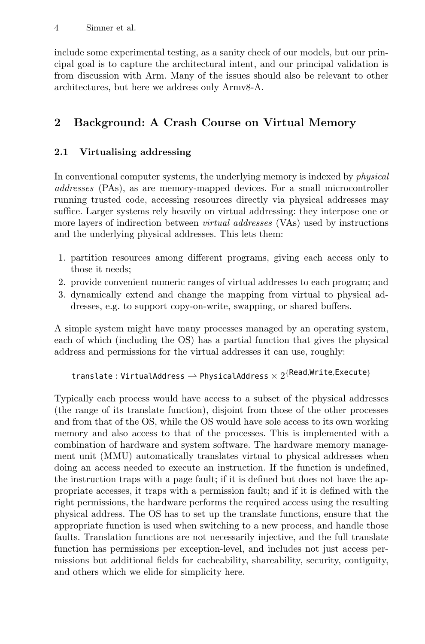include some experimental testing, as a sanity check of our models, but our principal goal is to capture the architectural intent, and our principal validation is from discussion with Arm. Many of the issues should also be relevant to other architectures, but here we address only Armv8-A.

# <span id="page-3-0"></span>2 Background: A Crash Course on Virtual Memory

## 2.1 Virtualising addressing

In conventional computer systems, the underlying memory is indexed by physical addresses (PAs), as are memory-mapped devices. For a small microcontroller running trusted code, accessing resources directly via physical addresses may suffice. Larger systems rely heavily on virtual addressing: they interpose one or more layers of indirection between *virtual addresses* (VAs) used by instructions and the underlying physical addresses. This lets them:

- 1. partition resources among different programs, giving each access only to those it needs;
- 2. provide convenient numeric ranges of virtual addresses to each program; and
- 3. dynamically extend and change the mapping from virtual to physical addresses, e.g. to support copy-on-write, swapping, or shared buffers.

A simple system might have many processes managed by an operating system, each of which (including the OS) has a partial function that gives the physical address and permissions for the virtual addresses it can use, roughly:

```
<code>translate</code> : <code>VirtualAddress</code> \rightharpoonup <code>PhysicalAddress</code> \times 2^{\{\textsf{Read}, \textsf{Write}, \textsf{Execute}\}}
```
Typically each process would have access to a subset of the physical addresses (the range of its translate function), disjoint from those of the other processes and from that of the OS, while the OS would have sole access to its own working memory and also access to that of the processes. This is implemented with a combination of hardware and system software. The hardware memory management unit (MMU) automatically translates virtual to physical addresses when doing an access needed to execute an instruction. If the function is undefined, the instruction traps with a page fault; if it is defined but does not have the appropriate accesses, it traps with a permission fault; and if it is defined with the right permissions, the hardware performs the required access using the resulting physical address. The OS has to set up the translate functions, ensure that the appropriate function is used when switching to a new process, and handle those faults. Translation functions are not necessarily injective, and the full translate function has permissions per exception-level, and includes not just access permissions but additional fields for cacheability, shareability, security, contiguity, and others which we elide for simplicity here.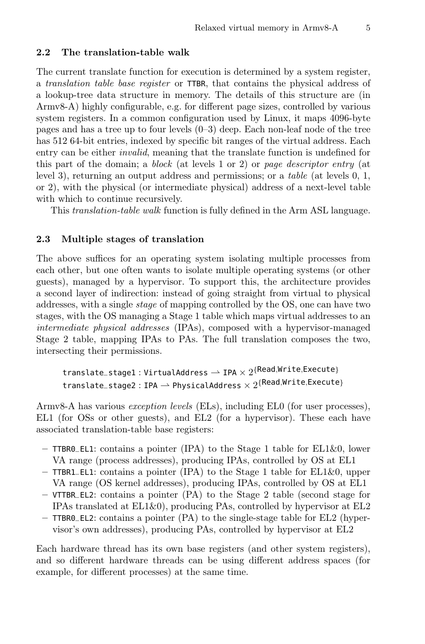#### 2.2 The translation-table walk

The current translate function for execution is determined by a system register, a translation table base register or TTBR, that contains the physical address of a lookup-tree data structure in memory. The details of this structure are (in Armv8-A) highly configurable, e.g. for different page sizes, controlled by various system registers. In a common configuration used by Linux, it maps 4096-byte pages and has a tree up to four levels (0–3) deep. Each non-leaf node of the tree has 512 64-bit entries, indexed by specific bit ranges of the virtual address. Each entry can be either invalid, meaning that the translate function is undefined for this part of the domain; a block (at levels 1 or 2) or page descriptor entry (at level 3), returning an output address and permissions; or a table (at levels 0, 1, or 2), with the physical (or intermediate physical) address of a next-level table with which to continue recursively.

This translation-table walk function is fully defined in the Arm ASL language.

#### 2.3 Multiple stages of translation

The above suffices for an operating system isolating multiple processes from each other, but one often wants to isolate multiple operating systems (or other guests), managed by a hypervisor. To support this, the architecture provides a second layer of indirection: instead of going straight from virtual to physical addresses, with a single stage of mapping controlled by the OS, one can have two stages, with the OS managing a Stage 1 table which maps virtual addresses to an intermediate physical addresses (IPAs), composed with a hypervisor-managed Stage 2 table, mapping IPAs to PAs. The full translation composes the two, intersecting their permissions.

<code>translate\_stage1</code> : <code>VirtualAddress</code>  $\rightharpoonup$  <code>IPA</code>  $\times$   $2^{\{\sf Read},\sf Write,Execute\}}$ <code>translate\_stage2</code> : IPA  $\rightharpoonup$  <code>PhysicalAddress</code>  $\times$   $2^{\{\sf Read},\sf Write, \sf Exercise 3}$ 

Armv8-A has various exception levels (ELs), including EL0 (for user processes), EL1 (for OSs or other guests), and EL2 (for a hypervisor). These each have associated translation-table base registers:

- $-$  TTBRO\_EL1: contains a pointer (IPA) to the Stage 1 table for EL1&0, lower VA range (process addresses), producing IPAs, controlled by OS at EL1
- $-$  TTBR1\_EL1: contains a pointer (IPA) to the Stage 1 table for EL1&0, upper VA range (OS kernel addresses), producing IPAs, controlled by OS at EL1
- VTTBR\_EL2: contains a pointer (PA) to the Stage 2 table (second stage for IPAs translated at EL1&0), producing PAs, controlled by hypervisor at EL2
- $-$  TTBR0\_EL2: contains a pointer (PA) to the single-stage table for EL2 (hypervisor's own addresses), producing PAs, controlled by hypervisor at EL2

Each hardware thread has its own base registers (and other system registers), and so different hardware threads can be using different address spaces (for example, for different processes) at the same time.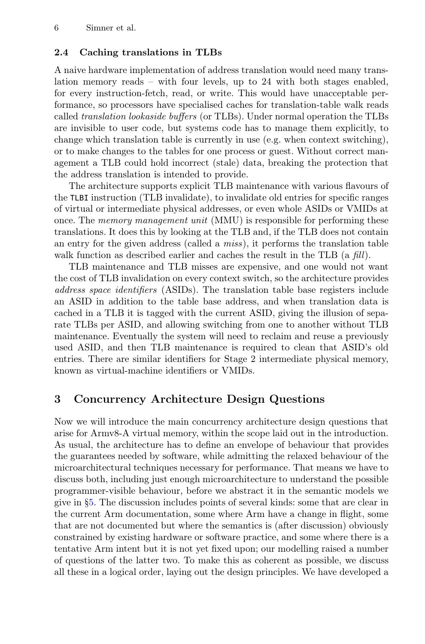#### 2.4 Caching translations in TLBs

A naive hardware implementation of address translation would need many translation memory reads – with four levels, up to 24 with both stages enabled, for every instruction-fetch, read, or write. This would have unacceptable performance, so processors have specialised caches for translation-table walk reads called translation lookaside buffers (or TLBs). Under normal operation the TLBs are invisible to user code, but systems code has to manage them explicitly, to change which translation table is currently in use (e.g. when context switching), or to make changes to the tables for one process or guest. Without correct management a TLB could hold incorrect (stale) data, breaking the protection that the address translation is intended to provide.

The architecture supports explicit TLB maintenance with various flavours of the TLBI instruction (TLB invalidate), to invalidate old entries for specific ranges of virtual or intermediate physical addresses, or even whole ASIDs or VMIDs at once. The memory management unit (MMU) is responsible for performing these translations. It does this by looking at the TLB and, if the TLB does not contain an entry for the given address (called a miss), it performs the translation table walk function as described earlier and caches the result in the TLB (a fill).

TLB maintenance and TLB misses are expensive, and one would not want the cost of TLB invalidation on every context switch, so the architecture provides address space identifiers (ASIDs). The translation table base registers include an ASID in addition to the table base address, and when translation data is cached in a TLB it is tagged with the current ASID, giving the illusion of separate TLBs per ASID, and allowing switching from one to another without TLB maintenance. Eventually the system will need to reclaim and reuse a previously used ASID, and then TLB maintenance is required to clean that ASID's old entries. There are similar identifiers for Stage 2 intermediate physical memory, known as virtual-machine identifiers or VMIDs.

### <span id="page-5-0"></span>3 Concurrency Architecture Design Questions

Now we will introduce the main concurrency architecture design questions that arise for Armv8-A virtual memory, within the scope laid out in the introduction. As usual, the architecture has to define an envelope of behaviour that provides the guarantees needed by software, while admitting the relaxed behaviour of the microarchitectural techniques necessary for performance. That means we have to discuss both, including just enough microarchitecture to understand the possible programmer-visible behaviour, before we abstract it in the semantic models we give in [§5.](#page-17-0) The discussion includes points of several kinds: some that are clear in the current Arm documentation, some where Arm have a change in flight, some that are not documented but where the semantics is (after discussion) obviously constrained by existing hardware or software practice, and some where there is a tentative Arm intent but it is not yet fixed upon; our modelling raised a number of questions of the latter two. To make this as coherent as possible, we discuss all these in a logical order, laying out the design principles. We have developed a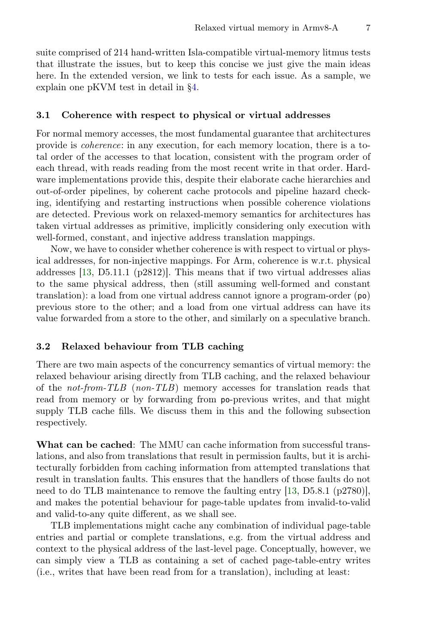suite comprised of 214 hand-written Isla-compatible virtual-memory litmus tests that illustrate the issues, but to keep this concise we just give the main ideas here. In the extended version, we link to tests for each issue. As a sample, we explain one pKVM test in detail in [§4.](#page-15-0)

### 3.1 Coherence with respect to physical or virtual addresses

For normal memory accesses, the most fundamental guarantee that architectures provide is coherence: in any execution, for each memory location, there is a total order of the accesses to that location, consistent with the program order of each thread, with reads reading from the most recent write in that order. Hardware implementations provide this, despite their elaborate cache hierarchies and out-of-order pipelines, by coherent cache protocols and pipeline hazard checking, identifying and restarting instructions when possible coherence violations are detected. Previous work on relaxed-memory semantics for architectures has taken virtual addresses as primitive, implicitly considering only execution with well-formed, constant, and injective address translation mappings.

Now, we have to consider whether coherence is with respect to virtual or physical addresses, for non-injective mappings. For Arm, coherence is w.r.t. physical addresses [\[13,](#page-25-0) D5.11.1 (p2812)]. This means that if two virtual addresses alias to the same physical address, then (still assuming well-formed and constant translation): a load from one virtual address cannot ignore a program-order (po) previous store to the other; and a load from one virtual address can have its value forwarded from a store to the other, and similarly on a speculative branch.

#### 3.2 Relaxed behaviour from TLB caching

There are two main aspects of the concurrency semantics of virtual memory: the relaxed behaviour arising directly from TLB caching, and the relaxed behaviour of the not-from-TLB (non-TLB) memory accesses for translation reads that read from memory or by forwarding from po-previous writes, and that might supply TLB cache fills. We discuss them in this and the following subsection respectively.

<span id="page-6-0"></span>What can be cached: The MMU can cache information from successful translations, and also from translations that result in permission faults, but it is architecturally forbidden from caching information from attempted translations that result in translation faults. This ensures that the handlers of those faults do not need to do TLB maintenance to remove the faulting entry [\[13,](#page-25-0) D5.8.1 (p2780)], and makes the potential behaviour for page-table updates from invalid-to-valid and valid-to-any quite different, as we shall see.

TLB implementations might cache any combination of individual page-table entries and partial or complete translations, e.g. from the virtual address and context to the physical address of the last-level page. Conceptually, however, we can simply view a TLB as containing a set of cached page-table-entry writes (i.e., writes that have been read from for a translation), including at least: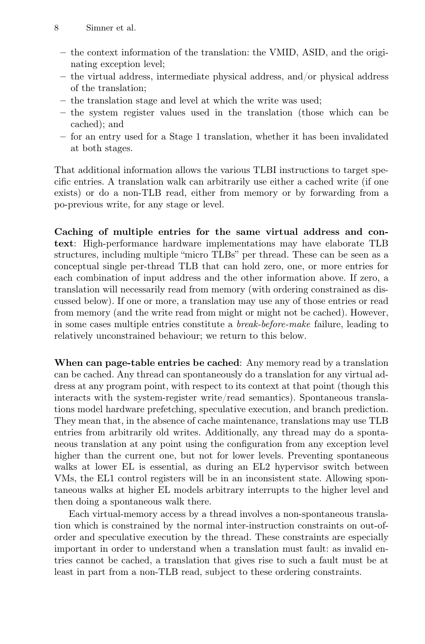- the context information of the translation: the VMID, ASID, and the originating exception level;
- the virtual address, intermediate physical address, and/or physical address of the translation;
- the translation stage and level at which the write was used;
- the system register values used in the translation (those which can be cached); and
- for an entry used for a Stage 1 translation, whether it has been invalidated at both stages.

That additional information allows the various TLBI instructions to target specific entries. A translation walk can arbitrarily use either a cached write (if one exists) or do a non-TLB read, either from memory or by forwarding from a po-previous write, for any stage or level.

Caching of multiple entries for the same virtual address and context: High-performance hardware implementations may have elaborate TLB structures, including multiple "micro TLBs" per thread. These can be seen as a conceptual single per-thread TLB that can hold zero, one, or more entries for each combination of input address and the other information above. If zero, a translation will necessarily read from memory (with ordering constrained as discussed below). If one or more, a translation may use any of those entries or read from memory (and the write read from might or might not be cached). However, in some cases multiple entries constitute a break-before-make failure, leading to relatively unconstrained behaviour; we return to this below.

When can page-table entries be cached: Any memory read by a translation can be cached. Any thread can spontaneously do a translation for any virtual address at any program point, with respect to its context at that point (though this interacts with the system-register write/read semantics). Spontaneous translations model hardware prefetching, speculative execution, and branch prediction. They mean that, in the absence of cache maintenance, translations may use TLB entries from arbitrarily old writes. Additionally, any thread may do a spontaneous translation at any point using the configuration from any exception level higher than the current one, but not for lower levels. Preventing spontaneous walks at lower EL is essential, as during an EL2 hypervisor switch between VMs, the EL1 control registers will be in an inconsistent state. Allowing spontaneous walks at higher EL models arbitrary interrupts to the higher level and then doing a spontaneous walk there.

Each virtual-memory access by a thread involves a non-spontaneous translation which is constrained by the normal inter-instruction constraints on out-oforder and speculative execution by the thread. These constraints are especially important in order to understand when a translation must fault: as invalid entries cannot be cached, a translation that gives rise to such a fault must be at least in part from a non-TLB read, subject to these ordering constraints.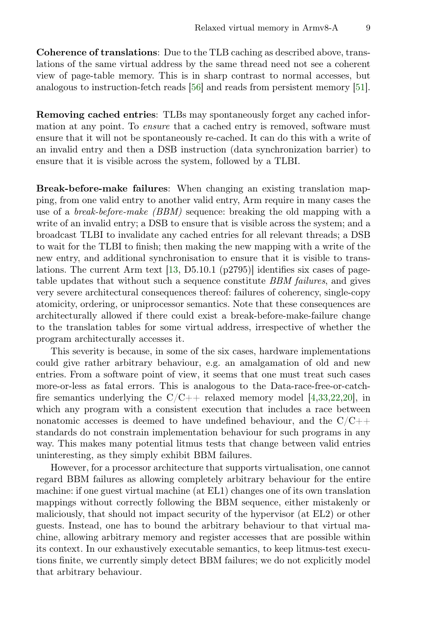Coherence of translations: Due to the TLB caching as described above, translations of the same virtual address by the same thread need not see a coherent view of page-table memory. This is in sharp contrast to normal accesses, but analogous to instruction-fetch reads [\[56\]](#page-29-6) and reads from persistent memory [\[51\]](#page-28-2).

Removing cached entries: TLBs may spontaneously forget any cached information at any point. To *ensure* that a cached entry is removed, software must ensure that it will not be spontaneously re-cached. It can do this with a write of an invalid entry and then a DSB instruction (data synchronization barrier) to ensure that it is visible across the system, followed by a TLBI.

<span id="page-8-0"></span>Break-before-make failures: When changing an existing translation mapping, from one valid entry to another valid entry, Arm require in many cases the use of a break-before-make (BBM) sequence: breaking the old mapping with a write of an invalid entry; a DSB to ensure that is visible across the system; and a broadcast TLBI to invalidate any cached entries for all relevant threads; a DSB to wait for the TLBI to finish; then making the new mapping with a write of the new entry, and additional synchronisation to ensure that it is visible to translations. The current Arm text [\[13,](#page-25-0) D5.10.1 (p2795)] identifies six cases of pagetable updates that without such a sequence constitute BBM failures, and gives very severe architectural consequences thereof: failures of coherency, single-copy atomicity, ordering, or uniprocessor semantics. Note that these consequences are architecturally allowed if there could exist a break-before-make-failure change to the translation tables for some virtual address, irrespective of whether the program architecturally accesses it.

This severity is because, in some of the six cases, hardware implementations could give rather arbitrary behaviour, e.g. an amalgamation of old and new entries. From a software point of view, it seems that one must treat such cases more-or-less as fatal errors. This is analogous to the Data-race-free-or-catchfire semantics underlying the  $C/C++$  relaxed memory model [\[4](#page-25-3)[,33,](#page-27-7)[22,](#page-26-2)[20\]](#page-26-3), in which any program with a consistent execution that includes a race between nonatomic accesses is deemed to have undefined behaviour, and the  $C/C++$ standards do not constrain implementation behaviour for such programs in any way. This makes many potential litmus tests that change between valid entries uninteresting, as they simply exhibit BBM failures.

However, for a processor architecture that supports virtualisation, one cannot regard BBM failures as allowing completely arbitrary behaviour for the entire machine: if one guest virtual machine (at EL1) changes one of its own translation mappings without correctly following the BBM sequence, either mistakenly or maliciously, that should not impact security of the hypervisor (at EL2) or other guests. Instead, one has to bound the arbitrary behaviour to that virtual machine, allowing arbitrary memory and register accesses that are possible within its context. In our exhaustively executable semantics, to keep litmus-test executions finite, we currently simply detect BBM failures; we do not explicitly model that arbitrary behaviour.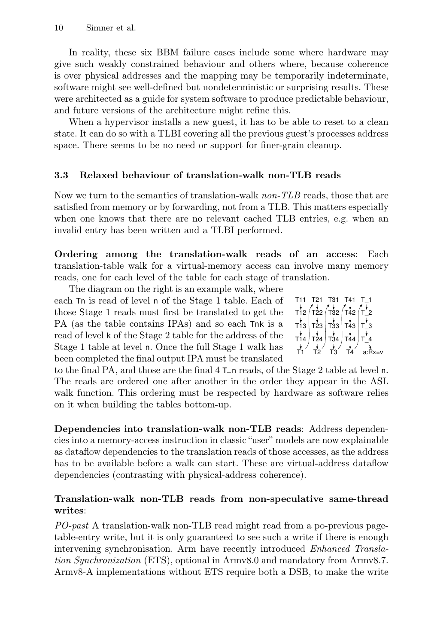In reality, these six BBM failure cases include some where hardware may give such weakly constrained behaviour and others where, because coherence is over physical addresses and the mapping may be temporarily indeterminate, software might see well-defined but nondeterministic or surprising results. These were architected as a guide for system software to produce predictable behaviour, and future versions of the architecture might refine this.

When a hypervisor installs a new guest, it has to be able to reset to a clean state. It can do so with a TLBI covering all the previous guest's processes address space. There seems to be no need or support for finer-grain cleanup.

### <span id="page-9-1"></span>3.3 Relaxed behaviour of translation-walk non-TLB reads

Now we turn to the semantics of translation-walk non-TLB reads, those that are satisfied from memory or by forwarding, not from a TLB. This matters especially when one knows that there are no relevant cached TLB entries, e.g. when an invalid entry has been written and a TLBI performed.

Ordering among the translation-walk reads of an access: Each translation-table walk for a virtual-memory access can involve many memory reads, one for each level of the table for each stage of translation.

The diagram on the right is an example walk, where

each Tn is read of level n of the Stage 1 table. Each of those Stage 1 reads must first be translated to get the PA (as the table contains IPAs) and so each Tnk is a read of level k of the Stage 2 table for the address of the Stage 1 table at level n. Once the full Stage 1 walk has been completed the final output IPA must be translated

T11 T21 T31 T41 T\_1 T12 T22 T32 T42 T\_2  $\frac{1}{113}$  T<sub>23</sub>  $\frac{1}{133}$  T<sub>43</sub>  $\frac{1}{143}$ T14 | T24 | T34 | T44 | T\_4 T1 T2 T3 T4 a:Rx=v

to the final PA, and those are the final 4 T\_n reads, of the Stage 2 table at level n. The reads are ordered one after another in the order they appear in the ASL walk function. This ordering must be respected by hardware as software relies on it when building the tables bottom-up.

Dependencies into translation-walk non-TLB reads: Address dependencies into a memory-access instruction in classic "user" models are now explainable as dataflow dependencies to the translation reads of those accesses, as the address has to be available before a walk can start. These are virtual-address dataflow dependencies (contrasting with physical-address coherence).

### <span id="page-9-0"></span>Translation-walk non-TLB reads from non-speculative same-thread writes:

PO-past A translation-walk non-TLB read might read from a po-previous pagetable-entry write, but it is only guaranteed to see such a write if there is enough intervening synchronisation. Arm have recently introduced Enhanced Translation Synchronization (ETS), optional in Armv8.0 and mandatory from Armv8.7. Armv8-A implementations without ETS require both a DSB, to make the write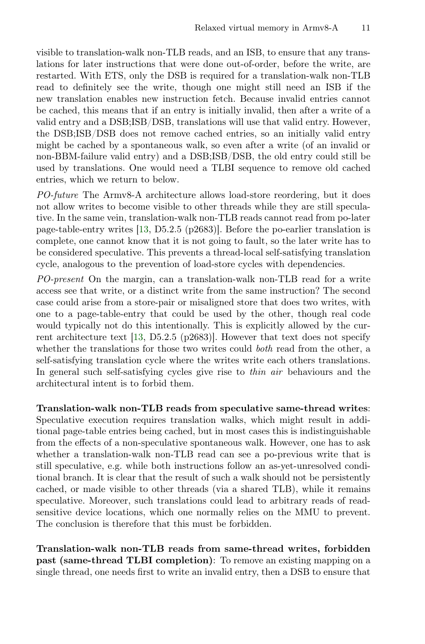visible to translation-walk non-TLB reads, and an ISB, to ensure that any translations for later instructions that were done out-of-order, before the write, are restarted. With ETS, only the DSB is required for a translation-walk non-TLB read to definitely see the write, though one might still need an ISB if the new translation enables new instruction fetch. Because invalid entries cannot be cached, this means that if an entry is initially invalid, then after a write of a valid entry and a DSB;ISB/DSB, translations will use that valid entry. However, the DSB;ISB/DSB does not remove cached entries, so an initially valid entry might be cached by a spontaneous walk, so even after a write (of an invalid or non-BBM-failure valid entry) and a DSB;ISB/DSB, the old entry could still be used by translations. One would need a TLBI sequence to remove old cached entries, which we return to below.

PO-future The Armv8-A architecture allows load-store reordering, but it does not allow writes to become visible to other threads while they are still speculative. In the same vein, translation-walk non-TLB reads cannot read from po-later page-table-entry writes [\[13,](#page-25-0) D5.2.5 (p2683)]. Before the po-earlier translation is complete, one cannot know that it is not going to fault, so the later write has to be considered speculative. This prevents a thread-local self-satisfying translation cycle, analogous to the prevention of load-store cycles with dependencies.

PO-present On the margin, can a translation-walk non-TLB read for a write access see that write, or a distinct write from the same instruction? The second case could arise from a store-pair or misaligned store that does two writes, with one to a page-table-entry that could be used by the other, though real code would typically not do this intentionally. This is explicitly allowed by the current architecture text [\[13,](#page-25-0) D5.2.5 (p2683)]. However that text does not specify whether the translations for those two writes could *both* read from the other, a self-satisfying translation cycle where the writes write each others translations. In general such self-satisfying cycles give rise to thin air behaviours and the architectural intent is to forbid them.

Translation-walk non-TLB reads from speculative same-thread writes: Speculative execution requires translation walks, which might result in additional page-table entries being cached, but in most cases this is indistinguishable from the effects of a non-speculative spontaneous walk. However, one has to ask whether a translation-walk non-TLB read can see a po-previous write that is still speculative, e.g. while both instructions follow an as-yet-unresolved conditional branch. It is clear that the result of such a walk should not be persistently cached, or made visible to other threads (via a shared TLB), while it remains speculative. Moreover, such translations could lead to arbitrary reads of readsensitive device locations, which one normally relies on the MMU to prevent. The conclusion is therefore that this must be forbidden.

<span id="page-10-0"></span>Translation-walk non-TLB reads from same-thread writes, forbidden past (same-thread TLBI completion): To remove an existing mapping on a single thread, one needs first to write an invalid entry, then a DSB to ensure that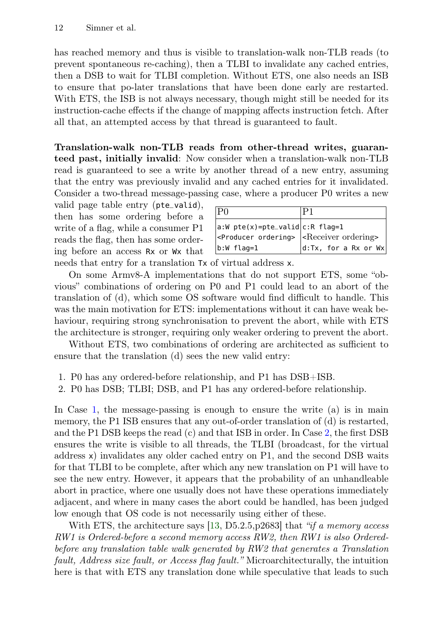has reached memory and thus is visible to translation-walk non-TLB reads (to prevent spontaneous re-caching), then a TLBI to invalidate any cached entries, then a DSB to wait for TLBI completion. Without ETS, one also needs an ISB to ensure that po-later translations that have been done early are restarted. With ETS, the ISB is not always necessary, though might still be needed for its instruction-cache effects if the change of mapping affects instruction fetch. After all that, an attempted access by that thread is guaranteed to fault.

Translation-walk non-TLB reads from other-thread writes, guaranteed past, initially invalid: Now consider when a translation-walk non-TLB read is guaranteed to see a write by another thread of a new entry, assuming that the entry was previously invalid and any cached entries for it invalidated. Consider a two-thread message-passing case, where a producer P0 writes a new

valid page table entry (pte\_valid), then has some ordering before a write of a flag, while a consumer P1 reads the flag, then has some ordering before an access Rx or Wx that

| P()                                                                                                       |                         |
|-----------------------------------------------------------------------------------------------------------|-------------------------|
| a:W pte(x)=pte_valid c:R flag=1<br>  <producer ordering="">  <receiver ordering=""></receiver></producer> |                         |
| $ b:W$ flag=1                                                                                             | $d$ :Tx, for a Rx or Wx |

needs that entry for a translation Tx of virtual address x.

On some Armv8-A implementations that do not support ETS, some "obvious" combinations of ordering on P0 and P1 could lead to an abort of the translation of (d), which some OS software would find difficult to handle. This was the main motivation for ETS: implementations without it can have weak behaviour, requiring strong synchronisation to prevent the abort, while with ETS the architecture is stronger, requiring only weaker ordering to prevent the abort.

Without ETS, two combinations of ordering are architected as sufficient to ensure that the translation (d) sees the new valid entry:

- <span id="page-11-0"></span>1. P0 has any ordered-before relationship, and P1 has DSB+ISB.
- <span id="page-11-1"></span>2. P0 has DSB; TLBI; DSB, and P1 has any ordered-before relationship.

In Case [1,](#page-11-0) the message-passing is enough to ensure the write (a) is in main memory, the P1 ISB ensures that any out-of-order translation of (d) is restarted, and the P1 DSB keeps the read (c) and that ISB in order. In Case [2,](#page-11-1) the first DSB ensures the write is visible to all threads, the TLBI (broadcast, for the virtual address x) invalidates any older cached entry on P1, and the second DSB waits for that TLBI to be complete, after which any new translation on P1 will have to see the new entry. However, it appears that the probability of an unhandleable abort in practice, where one usually does not have these operations immediately adjacent, and where in many cases the abort could be handled, has been judged low enough that OS code is not necessarily using either of these.

With ETS, the architecture says  $[13, D5.2.5, p2683]$  $[13, D5.2.5, p2683]$  that "if a memory access" RW1 is Ordered-before a second memory access RW2, then RW1 is also Orderedbefore any translation table walk generated by RW2 that generates a Translation fault, Address size fault, or Access flag fault." Microarchitecturally, the intuition here is that with ETS any translation done while speculative that leads to such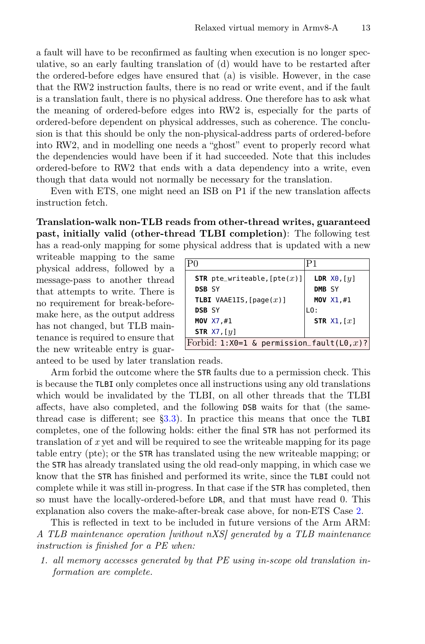a fault will have to be reconfirmed as faulting when execution is no longer speculative, so an early faulting translation of (d) would have to be restarted after the ordered-before edges have ensured that (a) is visible. However, in the case that the RW2 instruction faults, there is no read or write event, and if the fault is a translation fault, there is no physical address. One therefore has to ask what the meaning of ordered-before edges into RW2 is, especially for the parts of ordered-before dependent on physical addresses, such as coherence. The conclusion is that this should be only the non-physical-address parts of ordered-before into RW2, and in modelling one needs a "ghost" event to properly record what the dependencies would have been if it had succeeded. Note that this includes ordered-before to RW2 that ends with a data dependency into a write, even though that data would not normally be necessary for the translation.

Even with ETS, one might need an ISB on P1 if the new translation affects instruction fetch.

Translation-walk non-TLB reads from other-thread writes, guaranteed past, initially valid (other-thread TLBI completion): The following test has a read-only mapping for some physical address that is updated with a new

writeable mapping to the same physical address, followed by a message-pass to another thread that attempts to write. There is no requirement for break-beforemake here, as the output address has not changed, but TLB maintenance is required to ensure that the new writeable entry is guar-

|                                              | P <sub>1</sub>               |
|----------------------------------------------|------------------------------|
| <b>STR</b> pte_writeable, $[$ pte $(x)$ ]    | LDR $X0$ , [y]               |
| DSB SY                                       | DMB SY                       |
| <b>TLBI</b> VAAE1IS, $[\text{page}(x)]$      | MOV X1, #1                   |
| DSB SY                                       | L0:                          |
| MOV $X7, #1$                                 | STR $x1$ , $\lceil x \rceil$ |
| STR $X7$ , [y]                               |                              |
| Forbid: 1:X0=1 & permission_fault(L0, $x$ )? |                              |

anteed to be used by later translation reads.

Arm forbid the outcome where the STR faults due to a permission check. This is because the TLBI only completes once all instructions using any old translations which would be invalidated by the TLBI, on all other threads that the TLBI affects, have also completed, and the following DSB waits for that (the samethread case is different; see [§3.3\)](#page-10-0). In practice this means that once the TLBI completes, one of the following holds: either the final STR has not performed its translation of  $x$  yet and will be required to see the writeable mapping for its page table entry (pte); or the STR has translated using the new writeable mapping; or the STR has already translated using the old read-only mapping, in which case we know that the STR has finished and performed its write, since the TLBI could not complete while it was still in-progress. In that case if the STR has completed, then so must have the locally-ordered-before LDR, and that must have read 0. This explanation also covers the make-after-break case above, for non-ETS Case [2.](#page-11-1)

This is reflected in text to be included in future versions of the Arm ARM: A TLB maintenance operation [without nXS] generated by a TLB maintenance instruction is finished for a PE when:

1. all memory accesses generated by that PE using in-scope old translation information are complete.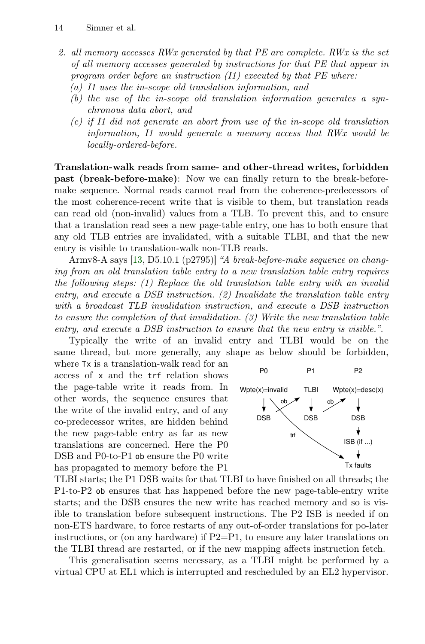- 2. all memory accesses RWx generated by that PE are complete. RWx is the set of all memory accesses generated by instructions for that PE that appear in program order before an instruction (I1) executed by that PE where:
	- (a) I1 uses the in-scope old translation information, and
	- (b) the use of the in-scope old translation information generates a synchronous data abort, and
	- (c) if I1 did not generate an abort from use of the in-scope old translation information, I1 would generate a memory access that RWx would be locally-ordered-before.

Translation-walk reads from same- and other-thread writes, forbidden past (break-before-make): Now we can finally return to the break-beforemake sequence. Normal reads cannot read from the coherence-predecessors of the most coherence-recent write that is visible to them, but translation reads can read old (non-invalid) values from a TLB. To prevent this, and to ensure that a translation read sees a new page-table entry, one has to both ensure that any old TLB entries are invalidated, with a suitable TLBI, and that the new entry is visible to translation-walk non-TLB reads.

Armv8-A says [\[13,](#page-25-0) D5.10.1 (p2795)] "A break-before-make sequence on changing from an old translation table entry to a new translation table entry requires the following steps: (1) Replace the old translation table entry with an invalid entry, and execute a DSB instruction. (2) Invalidate the translation table entry with a broadcast TLB invalidation instruction, and execute a DSB instruction to ensure the completion of that invalidation. (3) Write the new translation table entry, and execute a DSB instruction to ensure that the new entry is visible.".

Typically the write of an invalid entry and TLBI would be on the same thread, but more generally, any shape as below should be forbidden,

where Tx is a translation-walk read for an access of x and the trf relation shows the page-table write it reads from. In other words, the sequence ensures that the write of the invalid entry, and of any co-predecessor writes, are hidden behind the new page-table entry as far as new translations are concerned. Here the P0 DSB and P0-to-P1 ob ensure the P0 write has propagated to memory before the P1



TLBI starts; the P1 DSB waits for that TLBI to have finished on all threads; the P1-to-P2 ob ensures that has happened before the new page-table-entry write starts; and the DSB ensures the new write has reached memory and so is visible to translation before subsequent instructions. The P2 ISB is needed if on non-ETS hardware, to force restarts of any out-of-order translations for po-later instructions, or (on any hardware) if  $P2 = P1$ , to ensure any later translations on the TLBI thread are restarted, or if the new mapping affects instruction fetch.

This generalisation seems necessary, as a TLBI might be performed by a virtual CPU at EL1 which is interrupted and rescheduled by an EL2 hypervisor.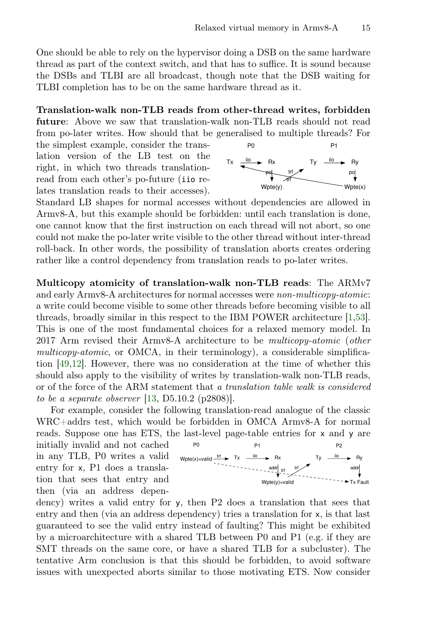One should be able to rely on the hypervisor doing a DSB on the same hardware thread as part of the context switch, and that has to suffice. It is sound because the DSBs and TLBI are all broadcast, though note that the DSB waiting for TLBI completion has to be on the same hardware thread as it.

Translation-walk non-TLB reads from other-thread writes, forbidden future: Above we saw that translation-walk non-TLB reads should not read from po-later writes. How should that be generalised to multiple threads? For

the simplest example, consider the translation version of the LB test on the right, in which two threads translationread from each other's po-future (iio relates translation reads to their accesses).



Standard LB shapes for normal accesses without dependencies are allowed in Armv8-A, but this example should be forbidden: until each translation is done, one cannot know that the first instruction on each thread will not abort, so one could not make the po-later write visible to the other thread without inter-thread roll-back. In other words, the possibility of translation aborts creates ordering rather like a control dependency from translation reads to po-later writes.

<span id="page-14-0"></span>Multicopy atomicity of translation-walk non-TLB reads: The ARMv7 and early Armv8-A architectures for normal accesses were non-multicopy-atomic: a write could become visible to some other threads before becoming visible to all threads, broadly similar in this respect to the IBM POWER architecture [\[1,](#page-25-4)[53\]](#page-28-3). This is one of the most fundamental choices for a relaxed memory model. In 2017 Arm revised their Armv8-A architecture to be multicopy-atomic (other multicopy-atomic, or OMCA, in their terminology), a considerable simplification [\[49,](#page-28-4)[12\]](#page-25-5). However, there was no consideration at the time of whether this should also apply to the visibility of writes by translation-walk non-TLB reads, or of the force of the ARM statement that a translation table walk is considered to be a separate observer  $[13, D5.10.2 (p2808)].$  $[13, D5.10.2 (p2808)].$ 

For example, consider the following translation-read analogue of the classic WRC+addrs test, which would be forbidden in OMCA Armv8-A for normal reads. Suppose one has ETS, the last-level page-table entries for x and y are P0 P1 P2 Wpte(x)=valid  $\frac{trf}{dr}$  Tx Tx Fault trf  $\frac{1}{10}$  Rx Wpte(y)=valid addr <sub>trf</sub> trf addi Ty  $\frac{1}{\sqrt{10}}$  Ry initially invalid and not cached in any TLB, P0 writes a valid entry for x, P1 does a translation that sees that entry and then (via an address depen-

dency) writes a valid entry for y, then P2 does a translation that sees that entry and then (via an address dependency) tries a translation for x, is that last guaranteed to see the valid entry instead of faulting? This might be exhibited by a microarchitecture with a shared TLB between P0 and P1 (e.g. if they are SMT threads on the same core, or have a shared TLB for a subcluster). The tentative Arm conclusion is that this should be forbidden, to avoid software issues with unexpected aborts similar to those motivating ETS. Now consider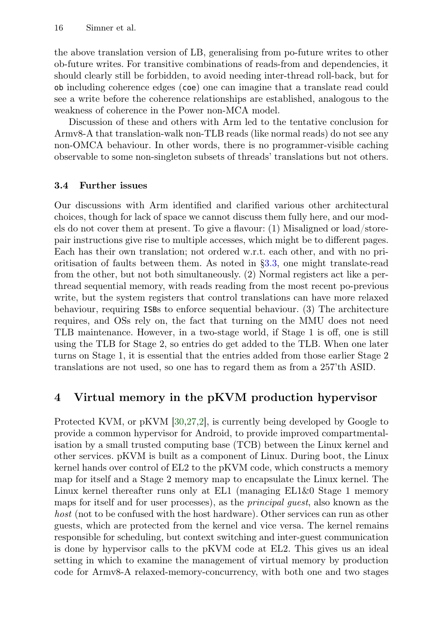the above translation version of LB, generalising from po-future writes to other ob-future writes. For transitive combinations of reads-from and dependencies, it should clearly still be forbidden, to avoid needing inter-thread roll-back, but for ob including coherence edges (coe) one can imagine that a translate read could see a write before the coherence relationships are established, analogous to the weakness of coherence in the Power non-MCA model.

Discussion of these and others with Arm led to the tentative conclusion for Armv8-A that translation-walk non-TLB reads (like normal reads) do not see any non-OMCA behaviour. In other words, there is no programmer-visible caching observable to some non-singleton subsets of threads' translations but not others.

### 3.4 Further issues

Our discussions with Arm identified and clarified various other architectural choices, though for lack of space we cannot discuss them fully here, and our models do not cover them at present. To give a flavour: (1) Misaligned or load/storepair instructions give rise to multiple accesses, which might be to different pages. Each has their own translation; not ordered w.r.t. each other, and with no prioritisation of faults between them. As noted in [§3.3,](#page-9-0) one might translate-read from the other, but not both simultaneously. (2) Normal registers act like a perthread sequential memory, with reads reading from the most recent po-previous write, but the system registers that control translations can have more relaxed behaviour, requiring ISBs to enforce sequential behaviour. (3) The architecture requires, and OSs rely on, the fact that turning on the MMU does not need TLB maintenance. However, in a two-stage world, if Stage 1 is off, one is still using the TLB for Stage 2, so entries do get added to the TLB. When one later turns on Stage 1, it is essential that the entries added from those earlier Stage 2 translations are not used, so one has to regard them as from a 257'th ASID.

## <span id="page-15-0"></span>4 Virtual memory in the pKVM production hypervisor

Protected KVM, or pKVM [\[30](#page-27-8)[,27,](#page-26-4)[2\]](#page-25-6), is currently being developed by Google to provide a common hypervisor for Android, to provide improved compartmentalisation by a small trusted computing base (TCB) between the Linux kernel and other services. pKVM is built as a component of Linux. During boot, the Linux kernel hands over control of EL2 to the pKVM code, which constructs a memory map for itself and a Stage 2 memory map to encapsulate the Linux kernel. The Linux kernel thereafter runs only at EL1 (managing EL1&0 Stage 1 memory maps for itself and for user processes), as the principal guest, also known as the host (not to be confused with the host hardware). Other services can run as other guests, which are protected from the kernel and vice versa. The kernel remains responsible for scheduling, but context switching and inter-guest communication is done by hypervisor calls to the pKVM code at EL2. This gives us an ideal setting in which to examine the management of virtual memory by production code for Armv8-A relaxed-memory-concurrency, with both one and two stages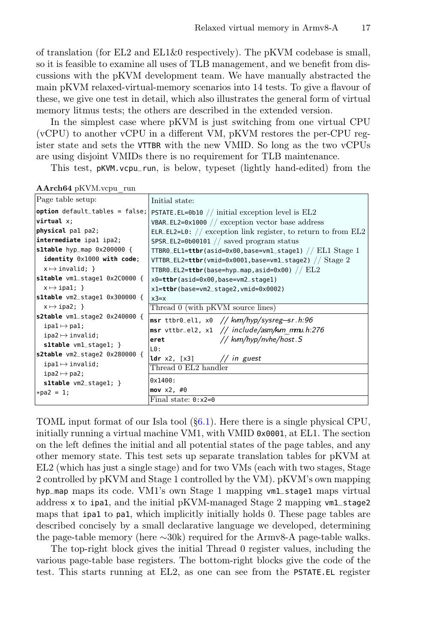of translation (for EL2 and EL1&0 respectively). The pKVM codebase is small, so it is feasible to examine all uses of TLB management, and we benefit from discussions with the pKVM development team. We have manually abstracted the main pKVM relaxed-virtual-memory scenarios into 14 tests. To give a flavour of these, we give one test in detail, which also illustrates the general form of virtual memory litmus tests; the others are described in the extended version.

In the simplest case where pKVM is just switching from one virtual CPU (vCPU) to another vCPU in a different VM, pKVM restores the per-CPU register state and sets the VTTBR with the new VMID. So long as the two vCPUs are using disjoint VMIDs there is no requirement for TLB maintenance.

AArch64 pKVM.vcpu\_run

This test, pKVM.vcpu\_run, is below, typeset (lightly hand-edited) from the

| Page table setup:                     | Initial state:                                                         |
|---------------------------------------|------------------------------------------------------------------------|
| <b>option</b> default_tables = false; | <b>PSTATE.</b> EL=0b10 $//$ initial exception level is $EL2$           |
| virtual x;                            | VBAR_EL2= $0 \times 1000$ // exception vector base address             |
| physical pal pa2;                     | <b>ELR_EL2=L0:</b> // exception link register, to return to from $EL2$ |
| intermediate ipal ipa2;               | SPSR_EL2=0b00101 $//$ saved program status                             |
| sltable hyp_map $0 \times 200000$ {   | TTBR0_EL1=ttbr(asid=0x00,base=vm1_stage1) // $EL1$ Stage 1             |
| $identity \ 0x1000 \ with \ code;$    | VTTBR_EL2=ttbr(vmid=0x0001,base=vml_stage2) // $Stage 2$               |
| $x \mapsto$ invalid; }                | TTBR0_EL2= <b>ttbr</b> (base=hyp_map,asid=0x00) // $EL2$               |
| sltable vml_stage1 0x2C0000 {         | x0=ttbr(asid=0x00,base=vm2_stage1)                                     |
| $x \mapsto$ ipal; }                   | $x1 =$ ttbr(base=vm2_stage2,vmid=0x0002)                               |
| sltable vm2_stage1 0x300000 {         | $x3=x$                                                                 |
| $x \mapsto$ ipa2; }                   | Thread 0 (with pKVM source lines)                                      |
| s2table $vm\$ _stage2 $0x240000$ {    | msr ttbr0_el1, $x0$ // $km/hyp/sysreg-sr.h:96$                         |
| $ipa1 \mapsto pa1;$                   | msr vttbr_el2, x1 // include/asm/kum mmu.h:276                         |
| $ipa2 \mapsto invalid;$               | // kvm/hyp/nvhe/host.S<br>eret                                         |
| $sltable$ vml_stage1; }               | $L0$ :                                                                 |
| s2table $vm2$ _stage2 $0x280000$ {    | <b>Ldr</b> $x2$ , $[x3]$ // in guest                                   |
| $ipal \mapsto invalid;$               | Thread 0 EL2 handler                                                   |
| $ipa2 \mapsto pa2;$                   |                                                                        |
| $sltable$ vm2_stage1; }               | 0x1400:                                                                |
| $*pa2 = 1;$                           | $mov \times2, #0$                                                      |
|                                       | Final state: $0: x2=0$                                                 |

TOML input format of our Isla tool ([§6.1\)](#page-22-0). Here there is a single physical CPU, initially running a virtual machine VM1, with VMID 0x0001, at EL1. The section on the left defines the initial and all potential states of the page tables, and any other memory state. This test sets up separate translation tables for pKVM at EL2 (which has just a single stage) and for two VMs (each with two stages, Stage 2 controlled by pKVM and Stage 1 controlled by the VM). pKVM's own mapping hyp\_map maps its code. VM1's own Stage 1 mapping vm1\_stage1 maps virtual address x to ipa1, and the initial pKVM-managed Stage 2 mapping vm1\_stage2 maps that ipa1 to pa1, which implicitly initially holds 0. These page tables are described concisely by a small declarative language we developed, determining the page-table memory (here ∼30k) required for the Armv8-A page-table walks.

The top-right block gives the initial Thread 0 register values, including the various page-table base registers. The bottom-right blocks give the code of the test. This starts running at EL2, as one can see from the PSTATE.EL register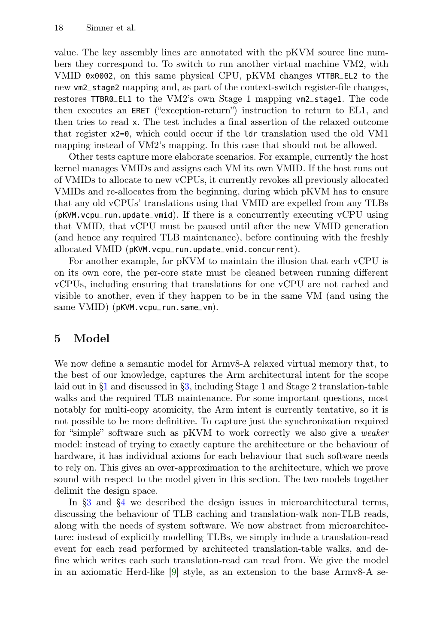value. The key assembly lines are annotated with the pKVM source line numbers they correspond to. To switch to run another virtual machine VM2, with VMID 0x0002, on this same physical CPU, pKVM changes VTTBR\_EL2 to the new vm2\_stage2 mapping and, as part of the context-switch register-file changes, restores TTBR0\_EL1 to the VM2's own Stage 1 mapping vm2\_stage1. The code then executes an ERET ("exception-return") instruction to return to EL1, and then tries to read x. The test includes a final assertion of the relaxed outcome that register x2=0, which could occur if the ldr translation used the old VM1 mapping instead of VM2's mapping. In this case that should not be allowed.

Other tests capture more elaborate scenarios. For example, currently the host kernel manages VMIDs and assigns each VM its own VMID. If the host runs out of VMIDs to allocate to new vCPUs, it currently revokes all previously allocated VMIDs and re-allocates from the beginning, during which pKVM has to ensure that any old vCPUs' translations using that VMID are expelled from any TLBs (pKVM.vcpu\_run.update\_vmid). If there is a concurrently executing vCPU using that VMID, that vCPU must be paused until after the new VMID generation (and hence any required TLB maintenance), before continuing with the freshly allocated VMID (pKVM.vcpu\_run.update\_vmid.concurrent).

For another example, for pKVM to maintain the illusion that each vCPU is on its own core, the per-core state must be cleaned between running different vCPUs, including ensuring that translations for one vCPU are not cached and visible to another, even if they happen to be in the same VM (and using the same VMID) (pKVM.vcpu\_run.same\_vm).

## <span id="page-17-0"></span>5 Model

We now define a semantic model for Armv8-A relaxed virtual memory that, to the best of our knowledge, captures the Arm architectural intent for the scope laid out in [§1](#page-0-0) and discussed in [§3,](#page-5-0) including Stage 1 and Stage 2 translation-table walks and the required TLB maintenance. For some important questions, most notably for multi-copy atomicity, the Arm intent is currently tentative, so it is not possible to be more definitive. To capture just the synchronization required for "simple" software such as pKVM to work correctly we also give a weaker model: instead of trying to exactly capture the architecture or the behaviour of hardware, it has individual axioms for each behaviour that such software needs to rely on. This gives an over-approximation to the architecture, which we prove sound with respect to the model given in this section. The two models together delimit the design space.

In [§3](#page-5-0) and [§4](#page-15-0) we described the design issues in microarchitectural terms, discussing the behaviour of TLB caching and translation-walk non-TLB reads, along with the needs of system software. We now abstract from microarchitecture: instead of explicitly modelling TLBs, we simply include a translation-read event for each read performed by architected translation-table walks, and define which writes each such translation-read can read from. We give the model in an axiomatic Herd-like [\[9\]](#page-25-7) style, as an extension to the base Armv8-A se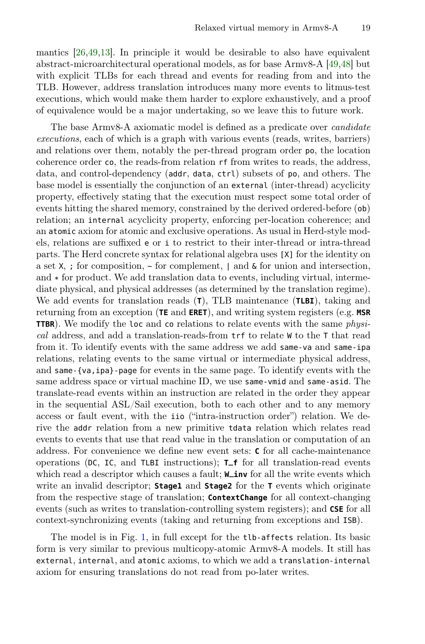mantics [\[26](#page-26-5)[,49,](#page-28-4)[13\]](#page-25-0). In principle it would be desirable to also have equivalent abstract-microarchitectural operational models, as for base Armv8-A [\[49,](#page-28-4)[48\]](#page-28-5) but with explicit TLBs for each thread and events for reading from and into the TLB. However, address translation introduces many more events to litmus-test executions, which would make them harder to explore exhaustively, and a proof of equivalence would be a major undertaking, so we leave this to future work.

The base Armv8-A axiomatic model is defined as a predicate over *candidate* executions, each of which is a graph with various events (reads, writes, barriers) and relations over them, notably the per-thread program order po, the location coherence order co, the reads-from relation rf from writes to reads, the address, data, and control-dependency (addr, data, ctrl) subsets of po, and others. The base model is essentially the conjunction of an external (inter-thread) acyclicity property, effectively stating that the execution must respect some total order of events hitting the shared memory, constrained by the derived ordered-before (ob) relation; an internal acyclicity property, enforcing per-location coherence; and an atomic axiom for atomic and exclusive operations. As usual in Herd-style models, relations are suffixed e or i to restrict to their inter-thread or intra-thread parts. The Herd concrete syntax for relational algebra uses [X] for the identity on a set  $X$ , ; for composition,  $\sim$  for complement, | and  $\&$  for union and intersection, and \* for product. We add translation data to events, including virtual, intermediate physical, and physical addresses (as determined by the translation regime). We add events for translation reads (**T**), TLB maintenance (**TLBI**), taking and returning from an exception (**TE** and **ERET**), and writing system registers (e.g. **MSR TTBR**). We modify the loc and co relations to relate events with the same *physi*cal address, and add a translation-reads-from trf to relate W to the T that read from it. To identify events with the same address we add same-va and same-ipa relations, relating events to the same virtual or intermediate physical address, and same-{va,ipa}-page for events in the same page. To identify events with the same address space or virtual machine ID, we use same-vmid and same-asid. The translate-read events within an instruction are related in the order they appear in the sequential ASL/Sail execution, both to each other and to any memory access or fault event, with the iio ("intra-instruction order") relation. We derive the addr relation from a new primitive tdata relation which relates read events to events that use that read value in the translation or computation of an address. For convenience we define new event sets: **C** for all cache-maintenance operations (DC, IC, and TLBI instructions); **T\_f** for all translation-read events which read a descriptor which causes a fault; **W\_inv** for all the write events which write an invalid descriptor; **Stage1** and **Stage2** for the **T** events which originate from the respective stage of translation; **ContextChange** for all context-changing events (such as writes to translation-controlling system registers); and **CSE** for all context-synchronizing events (taking and returning from exceptions and ISB).

The model is in Fig. [1,](#page-19-0) in full except for the tlb-affects relation. Its basic form is very similar to previous multicopy-atomic Armv8-A models. It still has external, internal, and atomic axioms, to which we add a translation-internal axiom for ensuring translations do not read from po-later writes.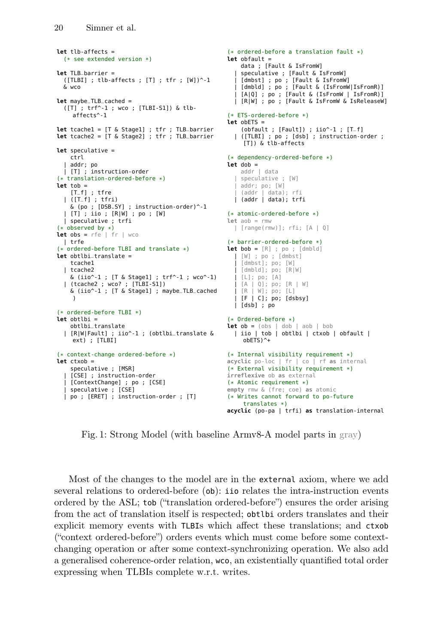```
let tlb-affects =
  (* see extended version *)
let TLB_barrier =
 ([TLBI] ; tlb-affects ; [T] ; tfr ; [W])^-1
 & wco
let maybe_TLB_cached =
  ([T] ; trf^-1 ; wco ; [TLBI-S1]) & tlb-
    affects^-1
let tcache1 = [T & Stage1] ; tfr ; TLB_barrier
let tcache2 = [T & Stage2] ; tfr ; TLB_barrier
let speculative =
   ctrl
  | addr; po
  | [T] ; instruction-order
(* translation-ordered-before *)
let tob =
    [T_f] ; tfre
  | ([T_f] ; tfri)
    & (po ; [DSB.SY] ; instruction-order)^-1
  | [T] ; iio ; [R|W] ; po ; [W]
  | speculative ; trfi
(* observed by *)
let obs = rfe | fr | wco
 | trfe
  (* ordered-before TLBI and translate *)
let obtlbi_translate =
    tcache1
  | tcache2
    \& (iio^-1 ; [T \& Stagel] ; trf^-1 ; wco^-1)
  | (tcache2 ; wco? ; [TLBI-S1])
    & (iio^-1 ; [T & Stage1] ; maybe_TLB_cached
     )
(* ordered-before TLBI *)
let obtlbi =
    obtlbi_translate
  | [R|W|Fault] ; iio^-1 ; (obtlbi_translate &
    ext) ; [TLBI]
(* context-change ordered-before *)
let ctxob =
    speculative ; [MSR]
  | [CSE] ; instruction-order
  | [ContextChange] ; po ; [CSE]
   | speculative ; [CSE]
  | po ; [ERET] ; instruction-order ; [T]
                                                   (* ordered-before a translation fault *)
                                                   let obfault =
                                                       data ; [Fault & IsFromW]
                                                     | speculative ; [Fault & IsFromW]
                                                     | [dmbst] ; po ; [Fault & IsFromW]
                                                     | [dmbld] ; po ; [Fault & (IsFromW|IsFromR)]
                                                     | [A|Q] ; po ; [Fault & (IsFromW | IsFromR)]
                                                     | [R|W] ; po ; [Fault & IsFromW & IsReleaseW]
                                                   (* ETS-ordered-before *)
                                                   let obETS =
                                                       (obfault ; [Fault]) ; iio^-1 ; [T_f]
                                                     | ([TLBI] ; po ; [dsb] ; instruction-order ;
                                                        [T]) & tlb-affects
                                                   (* dependency-ordered-before *)
                                                   let dob =
                                                       addr | data
                                                      | speculative ; [W]
                                                     | addr; po; [W]
                                                       | (addr | data); rfi
                                                     | (addr | data); trfi
                                                   (* atomic-ordered-before *)
                                                   let aob = rmw
                                                     | [range(rmw)]; rfi; [A | Q]
                                                   (* barrier-ordered-before *)
                                                   let bob = [R] ; po ; [dmbld]
| [W] ; po ; [dmbst]
                                                     | [dmbst]; po; [W]
                                                     | [dmbld]; po; [R|W]
                                                     | [L]; po; [A]
                                                     | [A | Q]; po; [R | W]
                                                     | [R | W]; po; [L]
                                                     | F | C |; po; [ dsbsy]| [dsb] ; po
                                                   (* Ordered-before *)
                                                   let ob = (obs \mid dob \mid aob \mid bob)| iio | tob | obtlbi | ctxob | obfault |
                                                        obETS)^+(* Internal visibility requirement *)
                                                   acyclic po-loc | fr | co | rf as internal
                                                   (* External visibility requirement *)
                                                   irreflexive ob as external
                                                   (* Atomic requirement *)
                                                   empty rmw & (fre; coe) as atomic
                                                   (* Writes cannot forward to po-future
                                                        translates *)
                                                   acyclic (po-pa | trfi) as translation-internal
```
Fig. 1: Strong Model (with baseline Armv8-A model parts in gray)

Most of the changes to the model are in the external axiom, where we add several relations to ordered-before (ob): iio relates the intra-instruction events ordered by the ASL; tob ("translation ordered-before") ensures the order arising from the act of translation itself is respected; obtlbi orders translates and their explicit memory events with TLBIs which affect these translations; and ctxob ("context ordered-before") orders events which must come before some contextchanging operation or after some context-synchronizing operation. We also add a generalised coherence-order relation, wco, an existentially quantified total order expressing when TLBIs complete w.r.t. writes.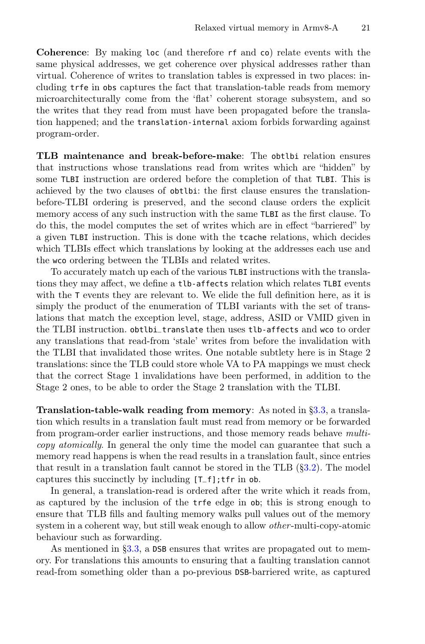Coherence: By making loc (and therefore rf and co) relate events with the same physical addresses, we get coherence over physical addresses rather than virtual. Coherence of writes to translation tables is expressed in two places: including trfe in obs captures the fact that translation-table reads from memory microarchitecturally come from the 'flat' coherent storage subsystem, and so the writes that they read from must have been propagated before the translation happened; and the translation-internal axiom forbids forwarding against program-order.

TLB maintenance and break-before-make: The obtlbi relation ensures that instructions whose translations read from writes which are "hidden" by some TLBI instruction are ordered before the completion of that TLBI. This is achieved by the two clauses of obtlbi: the first clause ensures the translationbefore-TLBI ordering is preserved, and the second clause orders the explicit memory access of any such instruction with the same TLBI as the first clause. To do this, the model computes the set of writes which are in effect "barriered" by a given TLBI instruction. This is done with the tcache relations, which decides which TLBIs effect which translations by looking at the addresses each use and the wco ordering between the TLBIs and related writes.

To accurately match up each of the various TLBI instructions with the translations they may affect, we define a tlb-affects relation which relates TLBI events with the  $\tau$  events they are relevant to. We elide the full definition here, as it is simply the product of the enumeration of TLBI variants with the set of translations that match the exception level, stage, address, ASID or VMID given in the TLBI instruction. obtlbi\_translate then uses tlb-affects and wco to order any translations that read-from 'stale' writes from before the invalidation with the TLBI that invalidated those writes. One notable subtlety here is in Stage 2 translations: since the TLB could store whole VA to PA mappings we must check that the correct Stage 1 invalidations have been performed, in addition to the Stage 2 ones, to be able to order the Stage 2 translation with the TLBI.

Translation-table-walk reading from memory: As noted in [§3.3,](#page-9-1) a translation which results in a translation fault must read from memory or be forwarded from program-order earlier instructions, and those memory reads behave multicopy atomically. In general the only time the model can guarantee that such a memory read happens is when the read results in a translation fault, since entries that result in a translation fault cannot be stored in the TLB ([§3.2\)](#page-6-0). The model captures this succinctly by including [T\_f];tfr in ob.

In general, a translation-read is ordered after the write which it reads from, as captured by the inclusion of the trfe edge in ob; this is strong enough to ensure that TLB fills and faulting memory walks pull values out of the memory system in a coherent way, but still weak enough to allow other -multi-copy-atomic behaviour such as forwarding.

As mentioned in [§3.3,](#page-9-0) a DSB ensures that writes are propagated out to memory. For translations this amounts to ensuring that a faulting translation cannot read-from something older than a po-previous DSB-barriered write, as captured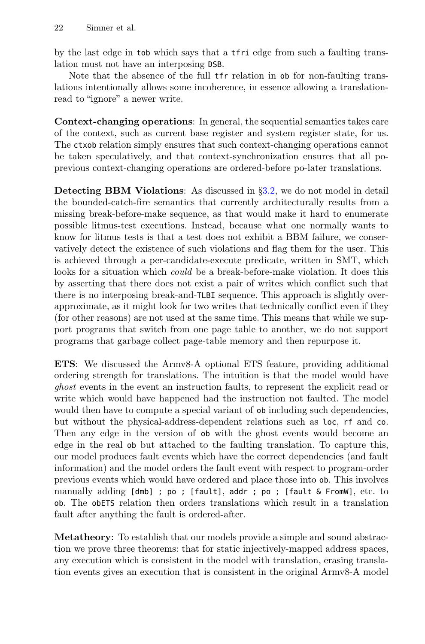by the last edge in tob which says that a tfri edge from such a faulting translation must not have an interposing DSB.

Note that the absence of the full tfr relation in ob for non-faulting translations intentionally allows some incoherence, in essence allowing a translationread to "ignore" a newer write.

Context-changing operations: In general, the sequential semantics takes care of the context, such as current base register and system register state, for us. The ctxob relation simply ensures that such context-changing operations cannot be taken speculatively, and that context-synchronization ensures that all poprevious context-changing operations are ordered-before po-later translations.

Detecting BBM Violations: As discussed in [§3.2,](#page-8-0) we do not model in detail the bounded-catch-fire semantics that currently architecturally results from a missing break-before-make sequence, as that would make it hard to enumerate possible litmus-test executions. Instead, because what one normally wants to know for litmus tests is that a test does not exhibit a BBM failure, we conservatively detect the existence of such violations and flag them for the user. This is achieved through a per-candidate-execute predicate, written in SMT, which looks for a situation which *could* be a break-before-make violation. It does this by asserting that there does not exist a pair of writes which conflict such that there is no interposing break-and-TLBI sequence. This approach is slightly overapproximate, as it might look for two writes that technically conflict even if they (for other reasons) are not used at the same time. This means that while we support programs that switch from one page table to another, we do not support programs that garbage collect page-table memory and then repurpose it.

ETS: We discussed the Armv8-A optional ETS feature, providing additional ordering strength for translations. The intuition is that the model would have ghost events in the event an instruction faults, to represent the explicit read or write which would have happened had the instruction not faulted. The model would then have to compute a special variant of **ob** including such dependencies, but without the physical-address-dependent relations such as loc, rf and co. Then any edge in the version of ob with the ghost events would become an edge in the real ob but attached to the faulting translation. To capture this, our model produces fault events which have the correct dependencies (and fault information) and the model orders the fault event with respect to program-order previous events which would have ordered and place those into ob. This involves manually adding [dmb] ; po ; [fault], addr ; po ; [fault & FromW], etc. to ob. The obETS relation then orders translations which result in a translation fault after anything the fault is ordered-after.

<span id="page-21-0"></span>Metatheory: To establish that our models provide a simple and sound abstraction we prove three theorems: that for static injectively-mapped address spaces, any execution which is consistent in the model with translation, erasing translation events gives an execution that is consistent in the original Armv8-A model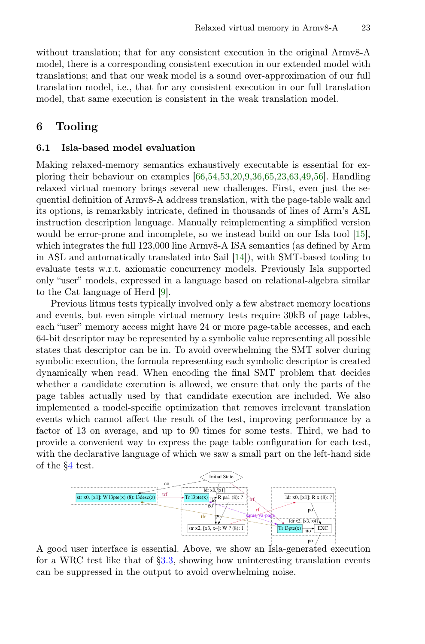without translation; that for any consistent execution in the original Armv8-A model, there is a corresponding consistent execution in our extended model with translations; and that our weak model is a sound over-approximation of our full translation model, i.e., that for any consistent execution in our full translation model, that same execution is consistent in the weak translation model.

### 6 Tooling

#### <span id="page-22-0"></span>6.1 Isla-based model evaluation

Making relaxed-memory semantics exhaustively executable is essential for exploring their behaviour on examples [\[66,](#page-30-0)[54,](#page-28-6)[53,](#page-28-3)[20](#page-26-3)[,9,](#page-25-7)[36,](#page-27-9)[65,](#page-29-7)[23,](#page-26-6)[63,](#page-29-8)[49,](#page-28-4)[56\]](#page-29-6). Handling relaxed virtual memory brings several new challenges. First, even just the sequential definition of Armv8-A address translation, with the page-table walk and its options, is remarkably intricate, defined in thousands of lines of Arm's ASL instruction description language. Manually reimplementing a simplified version would be error-prone and incomplete, so we instead build on our Isla tool [\[15\]](#page-26-1), which integrates the full 123,000 line Armv8-A ISA semantics (as defined by Arm in ASL and automatically translated into Sail [\[14\]](#page-25-2)), with SMT-based tooling to evaluate tests w.r.t. axiomatic concurrency models. Previously Isla supported only "user" models, expressed in a language based on relational-algebra similar to the Cat language of Herd [\[9\]](#page-25-7).

Previous litmus tests typically involved only a few abstract memory locations and events, but even simple virtual memory tests require 30kB of page tables, each "user" memory access might have 24 or more page-table accesses, and each 64-bit descriptor may be represented by a symbolic value representing all possible states that descriptor can be in. To avoid overwhelming the SMT solver during symbolic execution, the formula representing each symbolic descriptor is created dynamically when read. When encoding the final SMT problem that decides whether a candidate execution is allowed, we ensure that only the parts of the page tables actually used by that candidate execution are included. We also implemented a model-specific optimization that removes irrelevant translation events which cannot affect the result of the test, improving performance by a factor of 13 on average, and up to 90 times for some tests. Third, we had to provide a convenient way to express the page table configuration for each test, with the declarative language of which we saw a small part on the left-hand side of the [§4](#page-15-0) test.



for a WRC test like that of  $\S 3.3$ , showing how uninteresting translation events A good user interface is essential. Above, we show an Isla-generated execution can be suppressed in the output to avoid overwhelming noise.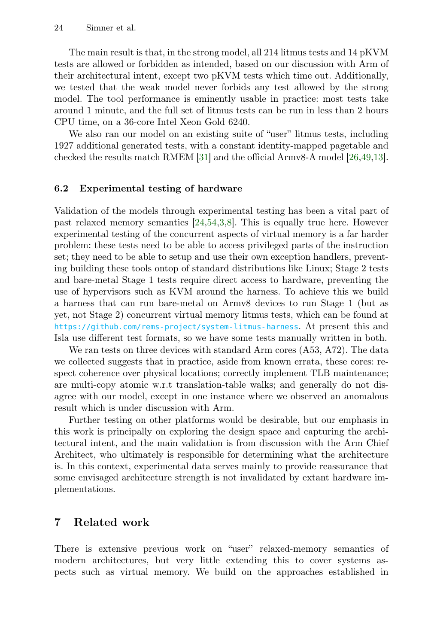The main result is that, in the strong model, all 214 litmus tests and 14 pKVM tests are allowed or forbidden as intended, based on our discussion with Arm of their architectural intent, except two pKVM tests which time out. Additionally, we tested that the weak model never forbids any test allowed by the strong model. The tool performance is eminently usable in practice: most tests take around 1 minute, and the full set of litmus tests can be run in less than 2 hours CPU time, on a 36-core Intel Xeon Gold 6240.

We also ran our model on an existing suite of "user" litmus tests, including 1927 additional generated tests, with a constant identity-mapped pagetable and checked the results match RMEM [\[31\]](#page-27-10) and the official Armv8-A model [\[26,](#page-26-5)[49,](#page-28-4)[13\]](#page-25-0).

### <span id="page-23-1"></span>6.2 Experimental testing of hardware

Validation of the models through experimental testing has been a vital part of past relaxed memory semantics [\[24](#page-26-7)[,54,](#page-28-6)[3,](#page-25-8)[8\]](#page-25-9). This is equally true here. However experimental testing of the concurrent aspects of virtual memory is a far harder problem: these tests need to be able to access privileged parts of the instruction set; they need to be able to setup and use their own exception handlers, preventing building these tools ontop of standard distributions like Linux; Stage 2 tests and bare-metal Stage 1 tests require direct access to hardware, preventing the use of hypervisors such as KVM around the harness. To achieve this we build a harness that can run bare-metal on Armv8 devices to run Stage 1 (but as yet, not Stage 2) concurrent virtual memory litmus tests, which can be found at <https://github.com/rems-project/system-litmus-harness>. At present this and Isla use different test formats, so we have some tests manually written in both.

We ran tests on three devices with standard Arm cores (A53, A72). The data we collected suggests that in practice, aside from known errata, these cores: respect coherence over physical locations; correctly implement TLB maintenance; are multi-copy atomic w.r.t translation-table walks; and generally do not disagree with our model, except in one instance where we observed an anomalous result which is under discussion with Arm.

Further testing on other platforms would be desirable, but our emphasis in this work is principally on exploring the design space and capturing the architectural intent, and the main validation is from discussion with the Arm Chief Architect, who ultimately is responsible for determining what the architecture is. In this context, experimental data serves mainly to provide reassurance that some envisaged architecture strength is not invalidated by extant hardware implementations.

## <span id="page-23-0"></span>7 Related work

There is extensive previous work on "user" relaxed-memory semantics of modern architectures, but very little extending this to cover systems aspects such as virtual memory. We build on the approaches established in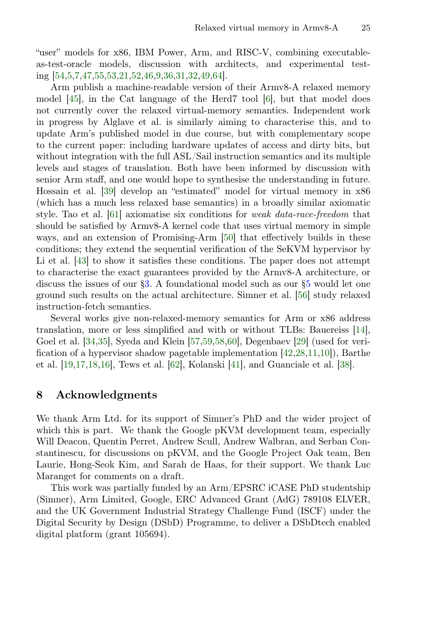"user" models for x86, IBM Power, Arm, and RISC-V, combining executableas-test-oracle models, discussion with architects, and experimental testing [\[54,](#page-28-6)[5](#page-25-10)[,7](#page-25-11)[,47,](#page-28-7)[55,](#page-28-8)[53](#page-28-3)[,21,](#page-26-8)[52,](#page-28-9)[46,](#page-28-10)[9,](#page-25-7)[36,](#page-27-9)[31,](#page-27-10)[32,](#page-27-11)[49,](#page-28-4)[64\]](#page-29-9).

Arm publish a machine-readable version of their Armv8-A relaxed memory model [\[45\]](#page-28-11), in the Cat language of the Herd7 tool [\[6\]](#page-25-12), but that model does not currently cover the relaxed virtual-memory semantics. Independent work in progress by Alglave et al. is similarly aiming to characterise this, and to update Arm's published model in due course, but with complementary scope to the current paper: including hardware updates of access and dirty bits, but without integration with the full ASL/Sail instruction semantics and its multiple levels and stages of translation. Both have been informed by discussion with senior Arm staff, and one would hope to synthesise the understanding in future. Hossain et al. [\[39\]](#page-27-12) develop an "estimated" model for virtual memory in x86 (which has a much less relaxed base semantics) in a broadly similar axiomatic style. Tao et al. [\[61\]](#page-29-5) axiomatise six conditions for weak data-race-freedom that should be satisfied by Armv8-A kernel code that uses virtual memory in simple ways, and an extension of Promising-Arm [\[50\]](#page-28-12) that effectively builds in these conditions; they extend the sequential verification of the SeKVM hypervisor by Li et al. [\[43\]](#page-28-1) to show it satisfies these conditions. The paper does not attempt to characterise the exact guarantees provided by the Armv8-A architecture, or discuss the issues of our [§3.](#page-5-0) A foundational model such as our [§5](#page-17-0) would let one ground such results on the actual architecture. Simner et al. [\[56\]](#page-29-6) study relaxed instruction-fetch semantics.

Several works give non-relaxed-memory semantics for Arm or x86 address translation, more or less simplified and with or without TLBs: Bauereiss [\[14\]](#page-25-2), Goel et al. [\[34,](#page-27-2)[35\]](#page-27-3), Syeda and Klein [\[57,](#page-29-0)[59,](#page-29-1)[58,](#page-29-2)[60\]](#page-29-3), Degenbaev [\[29\]](#page-27-4) (used for verification of a hypervisor shadow pagetable implementation [\[42,](#page-27-13)[28,](#page-26-9)[11,](#page-25-1)[10\]](#page-25-13)), Barthe et al. [\[19,](#page-26-10)[17](#page-26-11)[,18,](#page-26-12)[16\]](#page-26-13), Tews et al. [\[62\]](#page-29-4), Kolanski [\[41\]](#page-27-1), and Guanciale et al. [\[38\]](#page-27-0).

### 8 Acknowledgments

We thank Arm Ltd. for its support of Simner's PhD and the wider project of which this is part. We thank the Google pKVM development team, especially Will Deacon, Quentin Perret, Andrew Scull, Andrew Walbran, and Serban Constantinescu, for discussions on pKVM, and the Google Project Oak team, Ben Laurie, Hong-Seok Kim, and Sarah de Haas, for their support. We thank Luc Maranget for comments on a draft.

This work was partially funded by an Arm/EPSRC iCASE PhD studentship (Simner), Arm Limited, Google, ERC Advanced Grant (AdG) 789108 ELVER, and the UK Government Industrial Strategy Challenge Fund (ISCF) under the Digital Security by Design (DSbD) Programme, to deliver a DSbDtech enabled digital platform (grant 105694).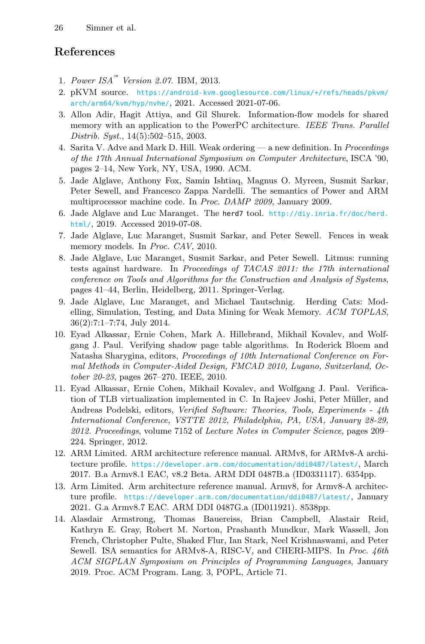## References

- <span id="page-25-4"></span>1. Power ISA<sup>™</sup> Version 2.07. IBM, 2013.
- <span id="page-25-6"></span>2. pKVM source. [https://android-kvm.googlesource.com/linux/+/refs/heads/pkvm/](https://android-kvm.googlesource.com/linux/+/refs/heads/pkvm/arch/arm64/kvm/hyp/nvhe/) [arch/arm64/kvm/hyp/nvhe/](https://android-kvm.googlesource.com/linux/+/refs/heads/pkvm/arch/arm64/kvm/hyp/nvhe/), 2021. Accessed 2021-07-06.
- <span id="page-25-8"></span>3. Allon Adir, Hagit Attiya, and Gil Shurek. Information-flow models for shared memory with an application to the PowerPC architecture. IEEE Trans. Parallel Distrib. Syst., 14(5):502–515, 2003.
- <span id="page-25-3"></span>4. Sarita V. Adve and Mark D. Hill. Weak ordering — a new definition. In Proceedings of the 17th Annual International Symposium on Computer Architecture, ISCA '90, pages 2–14, New York, NY, USA, 1990. ACM.
- <span id="page-25-10"></span>5. Jade Alglave, Anthony Fox, Samin Ishtiaq, Magnus O. Myreen, Susmit Sarkar, Peter Sewell, and Francesco Zappa Nardelli. The semantics of Power and ARM multiprocessor machine code. In Proc. DAMP 2009, January 2009.
- <span id="page-25-12"></span>6. Jade Alglave and Luc Maranget. The herd7 tool. [http://diy.inria.fr/doc/herd.](http://diy.inria.fr/doc/herd.html/) [html/](http://diy.inria.fr/doc/herd.html/), 2019. Accessed 2019-07-08.
- <span id="page-25-11"></span>7. Jade Alglave, Luc Maranget, Susmit Sarkar, and Peter Sewell. Fences in weak memory models. In Proc. CAV, 2010.
- <span id="page-25-9"></span>8. Jade Alglave, Luc Maranget, Susmit Sarkar, and Peter Sewell. Litmus: running tests against hardware. In Proceedings of TACAS 2011: the 17th international conference on Tools and Algorithms for the Construction and Analysis of Systems, pages 41–44, Berlin, Heidelberg, 2011. Springer-Verlag.
- <span id="page-25-7"></span>9. Jade Alglave, Luc Maranget, and Michael Tautschnig. Herding Cats: Modelling, Simulation, Testing, and Data Mining for Weak Memory. ACM TOPLAS, 36(2):7:1–7:74, July 2014.
- <span id="page-25-13"></span>10. Eyad Alkassar, Ernie Cohen, Mark A. Hillebrand, Mikhail Kovalev, and Wolfgang J. Paul. Verifying shadow page table algorithms. In Roderick Bloem and Natasha Sharygina, editors, Proceedings of 10th International Conference on Formal Methods in Computer-Aided Design, FMCAD 2010, Lugano, Switzerland, October 20-23, pages 267–270. IEEE, 2010.
- <span id="page-25-1"></span>11. Eyad Alkassar, Ernie Cohen, Mikhail Kovalev, and Wolfgang J. Paul. Verification of TLB virtualization implemented in C. In Rajeev Joshi, Peter Müller, and Andreas Podelski, editors, Verified Software: Theories, Tools, Experiments - 4th International Conference, VSTTE 2012, Philadelphia, PA, USA, January 28-29, 2012. Proceedings, volume 7152 of Lecture Notes in Computer Science, pages 209– 224. Springer, 2012.
- <span id="page-25-5"></span>12. ARM Limited. ARM architecture reference manual. ARMv8, for ARMv8-A architecture profile. <https://developer.arm.com/documentation/ddi0487/latest/>, March 2017. B.a Armv8.1 EAC, v8.2 Beta. ARM DDI 0487B.a (ID0331117). 6354pp.
- <span id="page-25-0"></span>13. Arm Limited. Arm architecture reference manual. Armv8, for Armv8-A architecture profile. <https://developer.arm.com/documentation/ddi0487/latest/>, January 2021. G.a Armv8.7 EAC. ARM DDI 0487G.a (ID011921). 8538pp.
- <span id="page-25-2"></span>14. Alasdair Armstrong, Thomas Bauereiss, Brian Campbell, Alastair Reid, Kathryn E. Gray, Robert M. Norton, Prashanth Mundkur, Mark Wassell, Jon French, Christopher Pulte, Shaked Flur, Ian Stark, Neel Krishnaswami, and Peter Sewell. ISA semantics for ARMv8-A, RISC-V, and CHERI-MIPS. In Proc. 46th ACM SIGPLAN Symposium on Principles of Programming Languages, January 2019. Proc. ACM Program. Lang. 3, POPL, Article 71.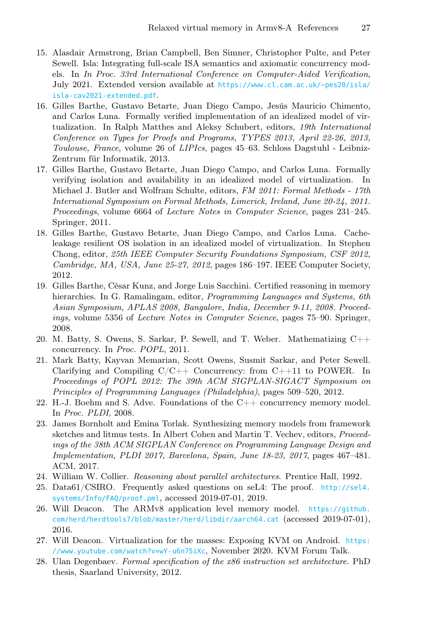- <span id="page-26-1"></span>15. Alasdair Armstrong, Brian Campbell, Ben Simner, Christopher Pulte, and Peter Sewell. Isla: Integrating full-scale ISA semantics and axiomatic concurrency models. In In Proc. 33rd International Conference on Computer-Aided Verification, July 2021. Extended version available at [https://www.cl.cam.ac.uk/~pes20/isla/](https://www.cl.cam.ac.uk/~pes20/isla/isla-cav2021-extended.pdf) [isla-cav2021-extended.pdf](https://www.cl.cam.ac.uk/~pes20/isla/isla-cav2021-extended.pdf).
- <span id="page-26-13"></span>16. Gilles Barthe, Gustavo Betarte, Juan Diego Campo, Jesús Mauricio Chimento, and Carlos Luna. Formally verified implementation of an idealized model of virtualization. In Ralph Matthes and Aleksy Schubert, editors, 19th International Conference on Types for Proofs and Programs, TYPES 2013, April 22-26, 2013, Toulouse, France, volume 26 of LIPIcs, pages 45–63. Schloss Dagstuhl - Leibniz-Zentrum für Informatik, 2013.
- <span id="page-26-11"></span>17. Gilles Barthe, Gustavo Betarte, Juan Diego Campo, and Carlos Luna. Formally verifying isolation and availability in an idealized model of virtualization. In Michael J. Butler and Wolfram Schulte, editors, FM 2011: Formal Methods - 17th International Symposium on Formal Methods, Limerick, Ireland, June 20-24, 2011. Proceedings, volume 6664 of Lecture Notes in Computer Science, pages 231–245. Springer, 2011.
- <span id="page-26-12"></span>18. Gilles Barthe, Gustavo Betarte, Juan Diego Campo, and Carlos Luna. Cacheleakage resilient OS isolation in an idealized model of virtualization. In Stephen Chong, editor, 25th IEEE Computer Security Foundations Symposium, CSF 2012, Cambridge, MA, USA, June 25-27, 2012, pages 186–197. IEEE Computer Society, 2012.
- <span id="page-26-10"></span>19. Gilles Barthe, César Kunz, and Jorge Luis Sacchini. Certified reasoning in memory hierarchies. In G. Ramalingam, editor, *Programming Languages and Systems*, 6th Asian Symposium, APLAS 2008, Bangalore, India, December 9-11, 2008. Proceedings, volume 5356 of Lecture Notes in Computer Science, pages 75–90. Springer, 2008.
- <span id="page-26-3"></span>20. M. Batty, S. Owens, S. Sarkar, P. Sewell, and T. Weber. Mathematizing C++ concurrency. In Proc. POPL, 2011.
- <span id="page-26-8"></span>21. Mark Batty, Kayvan Memarian, Scott Owens, Susmit Sarkar, and Peter Sewell. Clarifying and Compiling  $C/C++$  Concurrency: from  $C++11$  to POWER. In Proceedings of POPL 2012: The 39th ACM SIGPLAN-SIGACT Symposium on Principles of Programming Languages (Philadelphia), pages 509–520, 2012.
- <span id="page-26-2"></span>22. H.-J. Boehm and S. Adve. Foundations of the C++ concurrency memory model. In Proc. PLDI, 2008.
- <span id="page-26-6"></span>23. James Bornholt and Emina Torlak. Synthesizing memory models from framework sketches and litmus tests. In Albert Cohen and Martin T. Vechev, editors, Proceedings of the 38th ACM SIGPLAN Conference on Programming Language Design and Implementation, PLDI 2017, Barcelona, Spain, June 18-23, 2017, pages 467–481. ACM, 2017.
- <span id="page-26-7"></span>24. William W. Collier. Reasoning about parallel architectures. Prentice Hall, 1992.
- <span id="page-26-0"></span>25. Data61/CSIRO. Frequently asked questions on seL4: The proof. [http://sel4.](http://sel4.systems/Info/FAQ/proof.pml) [systems/Info/FAQ/proof.pml](http://sel4.systems/Info/FAQ/proof.pml), accessed 2019-07-01, 2019.
- <span id="page-26-5"></span>26. Will Deacon. The ARMv8 application level memory model. [https://github.](https://github.com/herd/herdtools7/blob/master/herd/libdir/aarch64.cat) [com/herd/herdtools7/blob/master/herd/libdir/aarch64.cat](https://github.com/herd/herdtools7/blob/master/herd/libdir/aarch64.cat) (accessed 2019-07-01), 2016.
- <span id="page-26-4"></span>27. Will Deacon. Virtualization for the masses: Exposing KVM on Android. [https:](https://www.youtube.com/watch?v=wY-u6n75iXc) [//www.youtube.com/watch?v=wY-u6n75iXc](https://www.youtube.com/watch?v=wY-u6n75iXc), November 2020. KVM Forum Talk.
- <span id="page-26-9"></span>28. Ulan Degenbaev. Formal specification of the x86 instruction set architecture. PhD thesis, Saarland University, 2012.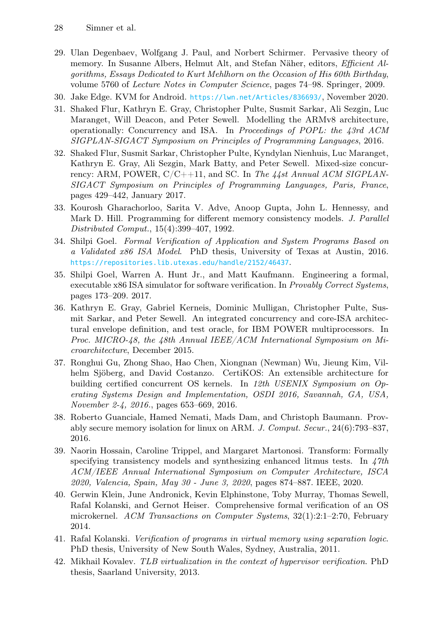- <span id="page-27-4"></span>29. Ulan Degenbaev, Wolfgang J. Paul, and Norbert Schirmer. Pervasive theory of memory. In Susanne Albers, Helmut Alt, and Stefan Näher, editors, Efficient Algorithms, Essays Dedicated to Kurt Mehlhorn on the Occasion of His 60th Birthday, volume 5760 of Lecture Notes in Computer Science, pages 74–98. Springer, 2009.
- <span id="page-27-8"></span>30. Jake Edge. KVM for Android. <https://lwn.net/Articles/836693/>, November 2020.
- <span id="page-27-10"></span>31. Shaked Flur, Kathryn E. Gray, Christopher Pulte, Susmit Sarkar, Ali Sezgin, Luc Maranget, Will Deacon, and Peter Sewell. Modelling the ARMv8 architecture, operationally: Concurrency and ISA. In Proceedings of POPL: the 43rd ACM SIGPLAN-SIGACT Symposium on Principles of Programming Languages, 2016.
- <span id="page-27-11"></span>32. Shaked Flur, Susmit Sarkar, Christopher Pulte, Kyndylan Nienhuis, Luc Maranget, Kathryn E. Gray, Ali Sezgin, Mark Batty, and Peter Sewell. Mixed-size concurrency: ARM, POWER,  $C/C++11$ , and SC. In The 44st Annual ACM SIGPLAN-SIGACT Symposium on Principles of Programming Languages, Paris, France, pages 429–442, January 2017.
- <span id="page-27-7"></span>33. Kourosh Gharachorloo, Sarita V. Adve, Anoop Gupta, John L. Hennessy, and Mark D. Hill. Programming for different memory consistency models. J. Parallel Distributed Comput., 15(4):399–407, 1992.
- <span id="page-27-2"></span>34. Shilpi Goel. Formal Verification of Application and System Programs Based on a Validated x86 ISA Model. PhD thesis, University of Texas at Austin, 2016. <https://repositories.lib.utexas.edu/handle/2152/46437>.
- <span id="page-27-3"></span>35. Shilpi Goel, Warren A. Hunt Jr., and Matt Kaufmann. Engineering a formal, executable x86 ISA simulator for software verification. In Provably Correct Systems, pages 173–209. 2017.
- <span id="page-27-9"></span>36. Kathryn E. Gray, Gabriel Kerneis, Dominic Mulligan, Christopher Pulte, Susmit Sarkar, and Peter Sewell. An integrated concurrency and core-ISA architectural envelope definition, and test oracle, for IBM POWER multiprocessors. In Proc. MICRO-48, the 48th Annual IEEE/ACM International Symposium on Microarchitecture, December 2015.
- <span id="page-27-6"></span>37. Ronghui Gu, Zhong Shao, Hao Chen, Xiongnan (Newman) Wu, Jieung Kim, Vilhelm Sjöberg, and David Costanzo. CertiKOS: An extensible architecture for building certified concurrent OS kernels. In 12th USENIX Symposium on Operating Systems Design and Implementation, OSDI 2016, Savannah, GA, USA, November 2-4, 2016., pages 653–669, 2016.
- <span id="page-27-0"></span>38. Roberto Guanciale, Hamed Nemati, Mads Dam, and Christoph Baumann. Provably secure memory isolation for linux on ARM. J. Comput. Secur., 24(6):793–837, 2016.
- <span id="page-27-12"></span>39. Naorin Hossain, Caroline Trippel, and Margaret Martonosi. Transform: Formally specifying transistency models and synthesizing enhanced litmus tests. In 47th ACM/IEEE Annual International Symposium on Computer Architecture, ISCA 2020, Valencia, Spain, May 30 - June 3, 2020, pages 874–887. IEEE, 2020.
- <span id="page-27-5"></span>40. Gerwin Klein, June Andronick, Kevin Elphinstone, Toby Murray, Thomas Sewell, Rafal Kolanski, and Gernot Heiser. Comprehensive formal verification of an OS microkernel. ACM Transactions on Computer Systems, 32(1):2:1–2:70, February 2014.
- <span id="page-27-1"></span>41. Rafal Kolanski. Verification of programs in virtual memory using separation logic. PhD thesis, University of New South Wales, Sydney, Australia, 2011.
- <span id="page-27-13"></span>42. Mikhail Kovalev. TLB virtualization in the context of hypervisor verification. PhD thesis, Saarland University, 2013.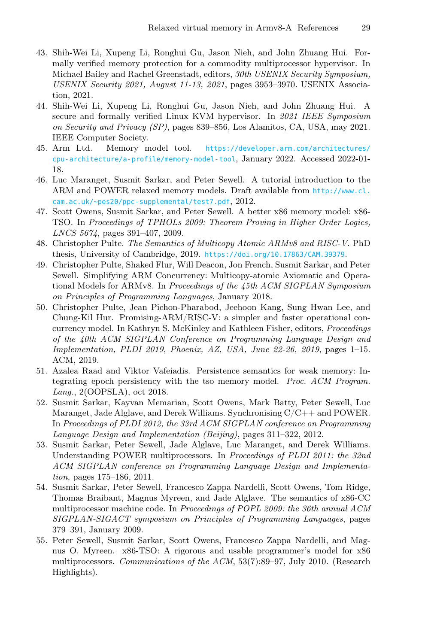- <span id="page-28-1"></span>43. Shih-Wei Li, Xupeng Li, Ronghui Gu, Jason Nieh, and John Zhuang Hui. Formally verified memory protection for a commodity multiprocessor hypervisor. In Michael Bailey and Rachel Greenstadt, editors, 30th USENIX Security Symposium, USENIX Security 2021, August 11-13, 2021, pages 3953–3970. USENIX Association, 2021.
- <span id="page-28-0"></span>44. Shih-Wei Li, Xupeng Li, Ronghui Gu, Jason Nieh, and John Zhuang Hui. A secure and formally verified Linux KVM hypervisor. In 2021 IEEE Symposium on Security and Privacy (SP), pages 839–856, Los Alamitos, CA, USA, may 2021. IEEE Computer Society.
- <span id="page-28-11"></span>45. Arm Ltd. Memory model tool. [https://developer.arm.com/architectures/](https://developer.arm.com/architectures/cpu-architecture/a-profile/memory-model-tool) [cpu-architecture/a-profile/memory-model-tool](https://developer.arm.com/architectures/cpu-architecture/a-profile/memory-model-tool), January 2022. Accessed 2022-01- 18.
- <span id="page-28-10"></span>46. Luc Maranget, Susmit Sarkar, and Peter Sewell. A tutorial introduction to the ARM and POWER relaxed memory models. Draft available from [http://www.cl.](http://www.cl.cam.ac.uk/~pes20/ppc-supplemental/test7.pdf) [cam.ac.uk/~pes20/ppc-supplemental/test7.pdf](http://www.cl.cam.ac.uk/~pes20/ppc-supplemental/test7.pdf), 2012.
- <span id="page-28-7"></span>47. Scott Owens, Susmit Sarkar, and Peter Sewell. A better x86 memory model: x86- TSO. In Proceedings of TPHOLs 2009: Theorem Proving in Higher Order Logics, LNCS 5674, pages 391–407, 2009.
- <span id="page-28-5"></span>48. Christopher Pulte. The Semantics of Multicopy Atomic ARMv8 and RISC-V. PhD thesis, University of Cambridge, 2019. <https://doi.org/10.17863/CAM.39379>.
- <span id="page-28-4"></span>49. Christopher Pulte, Shaked Flur, Will Deacon, Jon French, Susmit Sarkar, and Peter Sewell. Simplifying ARM Concurrency: Multicopy-atomic Axiomatic and Operational Models for ARMv8. In Proceedings of the 45th ACM SIGPLAN Symposium on Principles of Programming Languages, January 2018.
- <span id="page-28-12"></span>50. Christopher Pulte, Jean Pichon-Pharabod, Jeehoon Kang, Sung Hwan Lee, and Chung-Kil Hur. Promising-ARM/RISC-V: a simpler and faster operational concurrency model. In Kathryn S. McKinley and Kathleen Fisher, editors, Proceedings of the 40th ACM SIGPLAN Conference on Programming Language Design and Implementation, PLDI 2019, Phoenix, AZ, USA, June 22-26, 2019, pages 1–15. ACM, 2019.
- <span id="page-28-2"></span>51. Azalea Raad and Viktor Vafeiadis. Persistence semantics for weak memory: Integrating epoch persistency with the tso memory model. Proc. ACM Program. Lang., 2(OOPSLA), oct 2018.
- <span id="page-28-9"></span>52. Susmit Sarkar, Kayvan Memarian, Scott Owens, Mark Batty, Peter Sewell, Luc Maranget, Jade Alglave, and Derek Williams. Synchronising  $C/C++$  and POWER. In Proceedings of PLDI 2012, the 33rd ACM SIGPLAN conference on Programming Language Design and Implementation (Beijing), pages 311–322, 2012.
- <span id="page-28-3"></span>53. Susmit Sarkar, Peter Sewell, Jade Alglave, Luc Maranget, and Derek Williams. Understanding POWER multiprocessors. In Proceedings of PLDI 2011: the 32nd ACM SIGPLAN conference on Programming Language Design and Implementation, pages 175–186, 2011.
- <span id="page-28-6"></span>54. Susmit Sarkar, Peter Sewell, Francesco Zappa Nardelli, Scott Owens, Tom Ridge, Thomas Braibant, Magnus Myreen, and Jade Alglave. The semantics of x86-CC multiprocessor machine code. In Proceedings of POPL 2009: the 36th annual ACM SIGPLAN-SIGACT symposium on Principles of Programming Languages, pages 379–391, January 2009.
- <span id="page-28-8"></span>55. Peter Sewell, Susmit Sarkar, Scott Owens, Francesco Zappa Nardelli, and Magnus O. Myreen. x86-TSO: A rigorous and usable programmer's model for x86 multiprocessors. *Communications of the ACM*, 53(7):89–97, July 2010. (Research Highlights).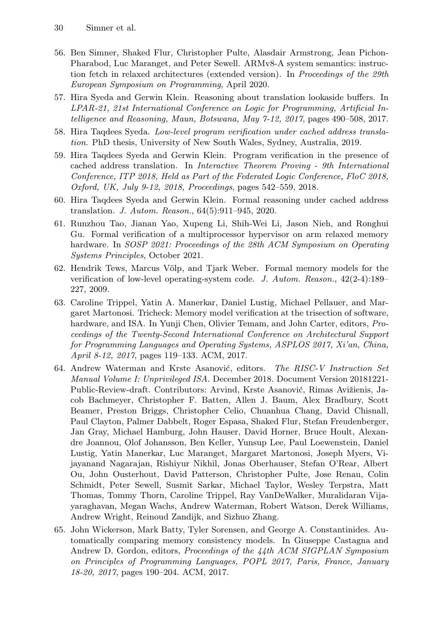- <span id="page-29-6"></span>56. Ben Simner, Shaked Flur, Christopher Pulte, Alasdair Armstrong, Jean Pichon-Pharabod, Luc Maranget, and Peter Sewell. ARMv8-A system semantics: instruction fetch in relaxed architectures (extended version). In Proceedings of the 29th European Symposium on Programming, April 2020.
- <span id="page-29-0"></span>57. Hira Syeda and Gerwin Klein. Reasoning about translation lookaside buffers. In LPAR-21, 21st International Conference on Logic for Programming, Artificial Intelligence and Reasoning, Maun, Botswana, May 7-12, 2017, pages 490–508, 2017.
- <span id="page-29-2"></span>58. Hira Taqdees Syeda. Low-level program verification under cached address translation. PhD thesis, University of New South Wales, Sydney, Australia, 2019.
- <span id="page-29-1"></span>59. Hira Taqdees Syeda and Gerwin Klein. Program verification in the presence of cached address translation. In Interactive Theorem Proving - 9th International Conference, ITP 2018, Held as Part of the Federated Logic Conference, FloC 2018, Oxford, UK, July 9-12, 2018, Proceedings, pages 542–559, 2018.
- <span id="page-29-3"></span>60. Hira Taqdees Syeda and Gerwin Klein. Formal reasoning under cached address translation. J. Autom. Reason., 64(5):911–945, 2020.
- <span id="page-29-5"></span>61. Runzhou Tao, Jianan Yao, Xupeng Li, Shih-Wei Li, Jason Nieh, and Ronghui Gu. Formal verification of a multiprocessor hypervisor on arm relaxed memory hardware. In SOSP 2021: Proceedings of the 28th ACM Symposium on Operating Systems Principles, October 2021.
- <span id="page-29-4"></span>62. Hendrik Tews, Marcus Völp, and Tjark Weber. Formal memory models for the verification of low-level operating-system code. J. Autom. Reason., 42(2-4):189– 227, 2009.
- <span id="page-29-8"></span>63. Caroline Trippel, Yatin A. Manerkar, Daniel Lustig, Michael Pellauer, and Margaret Martonosi. Tricheck: Memory model verification at the trisection of software, hardware, and ISA. In Yunji Chen, Olivier Temam, and John Carter, editors, Proceedings of the Twenty-Second International Conference on Architectural Support for Programming Languages and Operating Systems, ASPLOS 2017, Xi'an, China, April 8-12, 2017, pages 119–133. ACM, 2017.
- <span id="page-29-9"></span>64. Andrew Waterman and Krste Asanović, editors. The RISC-V Instruction Set Manual Volume I: Unprivileged ISA. December 2018. Document Version 20181221- Public-Review-draft. Contributors: Arvind, Krste Asanović, Rimas Avižienis, Jacob Bachmeyer, Christopher F. Batten, Allen J. Baum, Alex Bradbury, Scott Beamer, Preston Briggs, Christopher Celio, Chuanhua Chang, David Chisnall, Paul Clayton, Palmer Dabbelt, Roger Espasa, Shaked Flur, Stefan Freudenberger, Jan Gray, Michael Hamburg, John Hauser, David Horner, Bruce Hoult, Alexandre Joannou, Olof Johansson, Ben Keller, Yunsup Lee, Paul Loewenstein, Daniel Lustig, Yatin Manerkar, Luc Maranget, Margaret Martonosi, Joseph Myers, Vijayanand Nagarajan, Rishiyur Nikhil, Jonas Oberhauser, Stefan O'Rear, Albert Ou, John Ousterhout, David Patterson, Christopher Pulte, Jose Renau, Colin Schmidt, Peter Sewell, Susmit Sarkar, Michael Taylor, Wesley Terpstra, Matt Thomas, Tommy Thorn, Caroline Trippel, Ray VanDeWalker, Muralidaran Vijayaraghavan, Megan Wachs, Andrew Waterman, Robert Watson, Derek Williams, Andrew Wright, Reinoud Zandijk, and Sizhuo Zhang.
- <span id="page-29-7"></span>65. John Wickerson, Mark Batty, Tyler Sorensen, and George A. Constantinides. Automatically comparing memory consistency models. In Giuseppe Castagna and Andrew D. Gordon, editors, *Proceedings of the 44th ACM SIGPLAN Symposium* on Principles of Programming Languages, POPL 2017, Paris, France, January 18-20, 2017, pages 190–204. ACM, 2017.